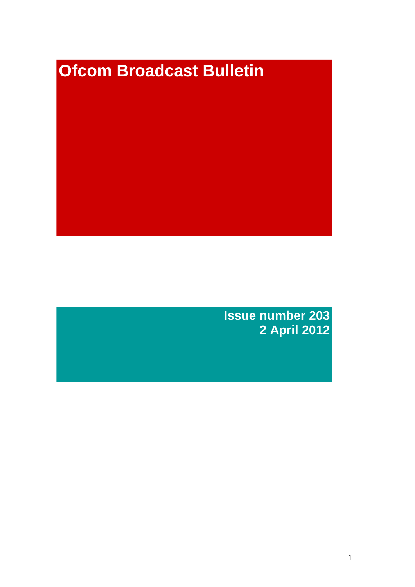# **Ofcom Broadcast Bulletin**

**Issue number 203 2 April 2012**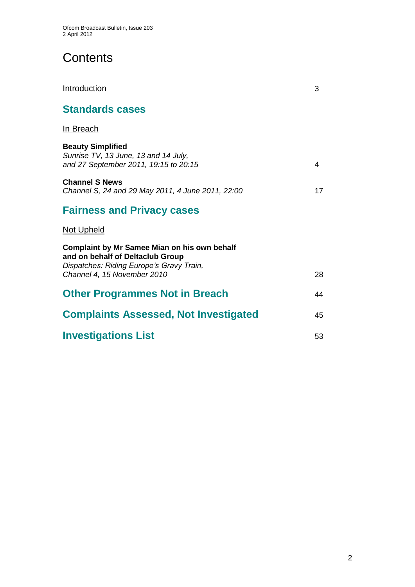# **Contents**

| Introduction                                                                                                                                                       | 3  |
|--------------------------------------------------------------------------------------------------------------------------------------------------------------------|----|
| <b>Standards cases</b>                                                                                                                                             |    |
| In Breach                                                                                                                                                          |    |
| <b>Beauty Simplified</b><br>Sunrise TV, 13 June, 13 and 14 July,<br>and 27 September 2011, 19:15 to 20:15                                                          | 4  |
| <b>Channel S News</b><br>Channel S, 24 and 29 May 2011, 4 June 2011, 22:00                                                                                         | 17 |
| <b>Fairness and Privacy cases</b>                                                                                                                                  |    |
| <b>Not Upheld</b>                                                                                                                                                  |    |
| <b>Complaint by Mr Samee Mian on his own behalf</b><br>and on behalf of Deltaclub Group<br>Dispatches: Riding Europe's Gravy Train,<br>Channel 4, 15 November 2010 | 28 |
| <b>Other Programmes Not in Breach</b>                                                                                                                              | 44 |
|                                                                                                                                                                    |    |
| <b>Complaints Assessed, Not Investigated</b>                                                                                                                       | 45 |
| <b>Investigations List</b>                                                                                                                                         | 53 |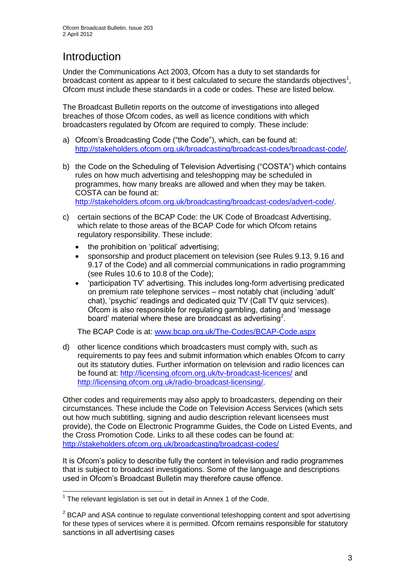# **Introduction**

Under the Communications Act 2003, Ofcom has a duty to set standards for broadcast content as appear to it best calculated to secure the standards objectives<sup>1</sup>, Ofcom must include these standards in a code or codes. These are listed below.

The Broadcast Bulletin reports on the outcome of investigations into alleged breaches of those Ofcom codes, as well as licence conditions with which broadcasters regulated by Ofcom are required to comply. These include:

- a) Ofcom"s Broadcasting Code ("the Code"), which, can be found at: [http://stakeholders.ofcom.org.uk/broadcasting/broadcast-codes/broadcast-code/.](http://stakeholders.ofcom.org.uk/broadcasting/broadcast-codes/broadcast-code/)
- b) the Code on the Scheduling of Television Advertising ("COSTA") which contains rules on how much advertising and teleshopping may be scheduled in programmes, how many breaks are allowed and when they may be taken. COSTA can be found at: [http://stakeholders.ofcom.org.uk/broadcasting/broadcast-codes/advert-code/.](http://stakeholders.ofcom.org.uk/broadcasting/broadcast-codes/advert-code/)

c) certain sections of the BCAP Code: the UK Code of Broadcast Advertising, which relate to those areas of the BCAP Code for which Ofcom retains regulatory responsibility. These include:

- the prohibition on "political" advertising;
- sponsorship and product placement on television (see Rules 9.13, 9.16 and 9.17 of the Code) and all commercial communications in radio programming (see Rules 10.6 to 10.8 of the Code);
- "participation TV" advertising. This includes long-form advertising predicated on premium rate telephone services – most notably chat (including "adult" chat), "psychic" readings and dedicated quiz TV (Call TV quiz services). Ofcom is also responsible for regulating gambling, dating and "message board' material where these are broadcast as advertising<sup>2</sup>.

The BCAP Code is at: [www.bcap.org.uk/The-Codes/BCAP-Code.aspx](http://www.bcap.org.uk/The-Codes/BCAP-Code.aspx)

d) other licence conditions which broadcasters must comply with, such as requirements to pay fees and submit information which enables Ofcom to carry out its statutory duties. Further information on television and radio licences can be found at:<http://licensing.ofcom.org.uk/tv-broadcast-licences/> and [http://licensing.ofcom.org.uk/radio-broadcast-licensing/.](http://licensing.ofcom.org.uk/radio-broadcast-licensing/)

Other codes and requirements may also apply to broadcasters, depending on their circumstances. These include the Code on Television Access Services (which sets out how much subtitling, signing and audio description relevant licensees must provide), the Code on Electronic Programme Guides, the Code on Listed Events, and the Cross Promotion Code. Links to all these codes can be found at: <http://stakeholders.ofcom.org.uk/broadcasting/broadcast-codes/>

It is Ofcom"s policy to describe fully the content in television and radio programmes that is subject to broadcast investigations. Some of the language and descriptions used in Ofcom"s Broadcast Bulletin may therefore cause offence.

1

 $1$  The relevant legislation is set out in detail in Annex 1 of the Code.

 $2$  BCAP and ASA continue to regulate conventional teleshopping content and spot advertising for these types of services where it is permitted. Ofcom remains responsible for statutory sanctions in all advertising cases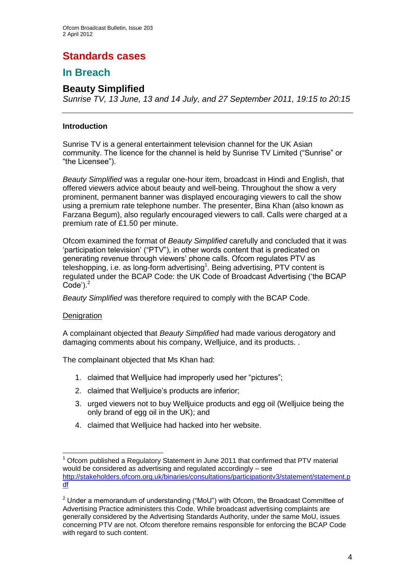## **Standards cases**

## **In Breach**

## **Beauty Simplified**

*Sunrise TV, 13 June, 13 and 14 July, and 27 September 2011, 19:15 to 20:15*

#### **Introduction**

Sunrise TV is a general entertainment television channel for the UK Asian community. The licence for the channel is held by Sunrise TV Limited ("Sunrise" or "the Licensee").

*Beauty Simplified* was a regular one-hour item, broadcast in Hindi and English, that offered viewers advice about beauty and well-being. Throughout the show a very prominent, permanent banner was displayed encouraging viewers to call the show using a premium rate telephone number. The presenter, Bina Khan (also known as Farzana Begum), also regularly encouraged viewers to call. Calls were charged at a premium rate of £1.50 per minute.

Ofcom examined the format of *Beauty Simplified* carefully and concluded that it was "participation television" ("PTV"), in other words content that is predicated on generating revenue through viewers" phone calls. Ofcom regulates PTV as  $t$ eleshopping, i.e. as long-form advertising<sup>1</sup>. Being advertising, PTV content is regulated under the BCAP Code: the UK Code of Broadcast Advertising ("the BCAP  $Code$ <sup>2</sup>.

*Beauty Simplified* was therefore required to comply with the BCAP Code.

#### **Denigration**

1

A complainant objected that *Beauty Simplified* had made various derogatory and damaging comments about his company, Welljuice, and its products. .

The complainant objected that Ms Khan had:

- 1. claimed that Welljuice had improperly used her "pictures";
- 2. claimed that Welljuice's products are inferior;
- 3. urged viewers not to buy Welljuice products and egg oil (Welljuice being the only brand of egg oil in the UK); and
- 4. claimed that Welljuice had hacked into her website.

<sup>1</sup> Ofcom published a Regulatory Statement in June 2011 that confirmed that PTV material would be considered as advertising and regulated accordingly – see [http://stakeholders.ofcom.org.uk/binaries/consultations/participationtv3/statement/statement.p](http://stakeholders.ofcom.org.uk/binaries/consultations/participationtv3/statement/statement.pdf) [df](http://stakeholders.ofcom.org.uk/binaries/consultations/participationtv3/statement/statement.pdf)

 $2$  Under a memorandum of understanding ("MoU") with Ofcom, the Broadcast Committee of Advertising Practice administers this Code. While broadcast advertising complaints are generally considered by the Advertising Standards Authority, under the same MoU, issues concerning PTV are not. Ofcom therefore remains responsible for enforcing the BCAP Code with regard to such content.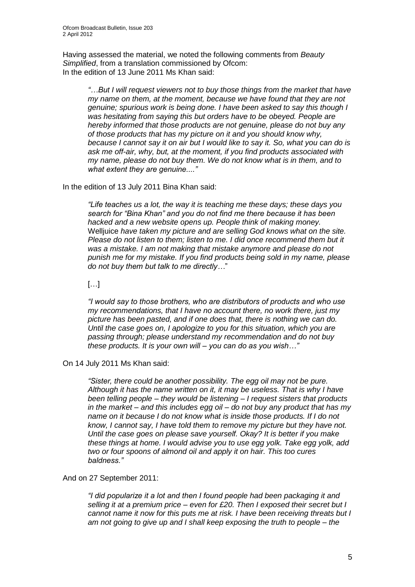Having assessed the material, we noted the following comments from *Beauty Simplified*, from a translation commissioned by Ofcom: In the edition of 13 June 2011 Ms Khan said:

*"…But I will request viewers not to buy those things from the market that have my name on them, at the moment, because we have found that they are not genuine; spurious work is being done. I have been asked to say this though I was hesitating from saying this but orders have to be obeyed. People are hereby informed that those products are not genuine, please do not buy any of those products that has my picture on it and you should know why, because I cannot say it on air but I would like to say it. So, what you can do is ask me off-air, why, but, at the moment, if you find products associated with my name, please do not buy them. We do not know what is in them, and to what extent they are genuine...."*

In the edition of 13 July 2011 Bina Khan said:

*"Life teaches us a lot, the way it is teaching me these days; these days you search for "Bina Khan" and you do not find me there because it has been hacked and a new website opens up. People think of making money.*  Welljuice *have taken my picture and are selling God knows what on the site.*  Please do not listen to them; listen to me. I did once recommend them but it *was a mistake. I am not making that mistake anymore and please do not punish me for my mistake. If you find products being sold in my name, please do not buy them but talk to me directly…*"

[…]

*"I would say to those brothers, who are distributors of products and who use my recommendations, that I have no account there, no work there, just my picture has been pasted, and if one does that, there is nothing we can do. Until the case goes on, I apologize to you for this situation, which you are passing through; please understand my recommendation and do not buy these products. It is your own will – you can do as you wish…"*

On 14 July 2011 Ms Khan said:

*"Sister, there could be another possibility. The egg oil may not be pure. Although it has the name written on it, it may be useless. That is why I have been telling people – they would be listening – I request sisters that products in the market – and this includes egg oil – do not buy any product that has my name on it because I do not know what is inside those products. If I do not know, I cannot say, I have told them to remove my picture but they have not. Until the case goes on please save yourself. Okay? It is better if you make these things at home. I would advise you to use egg yolk. Take egg yolk, add two or four spoons of almond oil and apply it on hair. This too cures baldness."*

#### And on 27 September 2011:

*"I did popularize it a lot and then I found people had been packaging it and selling it at a premium price – even for £20. Then I exposed their secret but I cannot name it now for this puts me at risk. I have been receiving threats but I am not going to give up and I shall keep exposing the truth to people – the*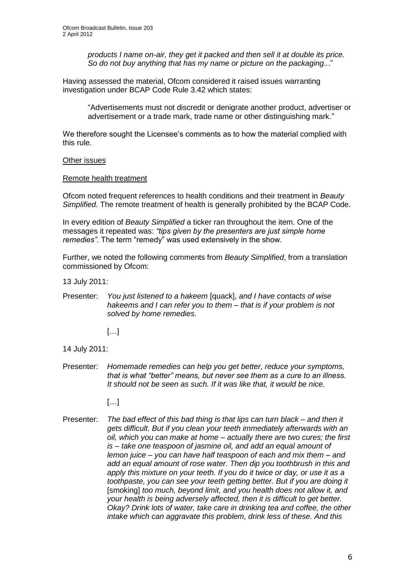*products I name on-air, they get it packed and then sell it at double its price. So do not buy anything that has my name or picture on the packaging..*."

Having assessed the material, Ofcom considered it raised issues warranting investigation under BCAP Code Rule 3.42 which states:

"Advertisements must not discredit or denigrate another product, advertiser or advertisement or a trade mark, trade name or other distinguishing mark."

We therefore sought the Licensee's comments as to how the material complied with this rule.

Other issues

#### Remote health treatment

Ofcom noted frequent references to health conditions and their treatment in *Beauty Simplified*. The remote treatment of health is generally prohibited by the BCAP Code.

In every edition of *Beauty Simplified* a ticker ran throughout the item. One of the messages it repeated was: *"tips given by the presenters are just simple home remedies"*. The term "remedy" was used extensively in the show.

Further, we noted the following comments from *Beauty Simplified*, from a translation commissioned by Ofcom:

13 July 2011:

Presenter: *You just listened to a hakeem* [quack], *and I have contacts of wise hakeems and I can refer you to them – that is if your problem is not solved by home remedies.*

[…]

- 14 July 2011:
- Presenter: *Homemade remedies can help you get better, reduce your symptoms, that is what "better" means, but never see them as a cure to an illness. It should not be seen as such. If it was like that, it would be nice.*
	- […]
- Presenter: *The bad effect of this bad thing is that lips can turn black – and then it gets difficult. But if you clean your teeth immediately afterwards with an oil, which you can make at home – actually there are two cures; the first is – take one teaspoon of jasmine oil, and add an equal amount of lemon juice – you can have half teaspoon of each and mix them – and add an equal amount of rose water. Then dip you toothbrush in this and apply this mixture on your teeth. If you do it twice or day, or use it as a toothpaste, you can see your teeth getting better. But if you are doing it* [smoking] *too much, beyond limit, and you health does not allow it, and your health is being adversely affected, then it is difficult to get better. Okay? Drink lots of water, take care in drinking tea and coffee, the other intake which can aggravate this problem, drink less of these. And this*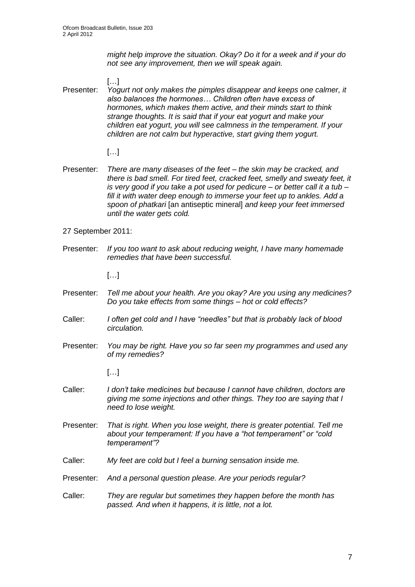*might help improve the situation. Okay? Do it for a week and if your do not see any improvement, then we will speak again.*

[…] Presenter: *Yogurt not only makes the pimples disappear and keeps one calmer, it also balances the hormones… Children often have excess of hormones, which makes them active, and their minds start to think strange thoughts. It is said that if your eat yogurt and make your children eat yogurt, you will see calmness in the temperament. If your children are not calm but hyperactive, start giving them yogurt.*

- […]
- Presenter: *There are many diseases of the feet – the skin may be cracked, and there is bad smell. For tired feet, cracked feet, smelly and sweaty feet, it is very good if you take a pot used for pedicure – or better call it a tub – fill it with water deep enough to immerse your feet up to ankles. Add a spoon of phatkari* [an antiseptic mineral] *and keep your feet immersed until the water gets cold.*
- 27 September 2011:
- Presenter: *If you too want to ask about reducing weight, I have many homemade remedies that have been successful.*

[…]

- Presenter: *Tell me about your health. Are you okay? Are you using any medicines? Do you take effects from some things – hot or cold effects?*
- Caller: *I often get cold and I have "needles" but that is probably lack of blood circulation.*
- Presenter: *You may be right. Have you so far seen my programmes and used any of my remedies?*

[…]

- Caller: *I don't take medicines but because I cannot have children, doctors are giving me some injections and other things. They too are saying that I need to lose weight.*
- Presenter: *That is right. When you lose weight, there is greater potential. Tell me about your temperament: If you have a "hot temperament" or "cold temperament"?*
- Caller: *My feet are cold but I feel a burning sensation inside me.*
- Presenter: *And a personal question please. Are your periods regular?*
- Caller: *They are regular but sometimes they happen before the month has passed. And when it happens, it is little, not a lot.*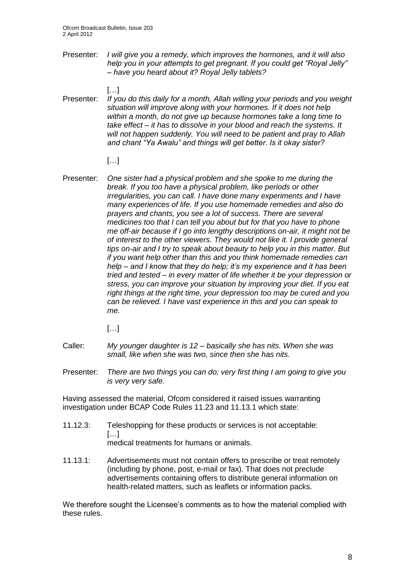Presenter: *I will give you a remedy, which improves the hormones, and it will also help you in your attempts to get pregnant. If you could get "Royal Jelly" – have you heard about it? Royal Jelly tablets?*

 $[...]$ 

Presenter: *If you do this daily for a month, Allah willing your periods and you weight situation will improve along with your hormones. If it does not help within a month, do not give up because hormones take a long time to take effect – it has to dissolve in your blood and reach the systems. It will not happen suddenly. You will need to be patient and pray to Allah and chant "Ya Awalu" and things will get better. Is it okay sister?*

#### […]

- Presenter: *One sister had a physical problem and she spoke to me during the break. If you too have a physical problem, like periods or other irregularities, you can call. I have done many experiments and I have many experiences of life. If you use homemade remedies and also do prayers and chants, you see a lot of success. There are several medicines too that I can tell you about but for that you have to phone me off-air because if I go into lengthy descriptions on-air, it might not be of interest to the other viewers. They would not like it. I provide general tips on-air and I try to speak about beauty to help you in this matter. But if you want help other than this and you think homemade remedies can help – and I know that they do help; it's my experience and it has been tried and tested – in every matter of life whether it be your depression or stress, you can improve your situation by improving your diet. If you eat right things at the right time, your depression too may be cured and you can be relieved. I have vast experience in this and you can speak to me.*
	- […]
- Caller: *My younger daughter is 12 – basically she has nits. When she was small, like when she was two, since then she has nits.*
- Presenter: *There are two things you can do; very first thing I am going to give you is very very safe.*

Having assessed the material, Ofcom considered it raised issues warranting investigation under BCAP Code Rules 11.23 and 11.13.1 which state:

- 11.12.3: Teleshopping for these products or services is not acceptable:  $[...]$ medical treatments for humans or animals.
- 11.13.1: Advertisements must not contain offers to prescribe or treat remotely (including by phone, post, e-mail or fax). That does not preclude advertisements containing offers to distribute general information on health-related matters, such as leaflets or information packs.

We therefore sought the Licensee's comments as to how the material complied with these rules.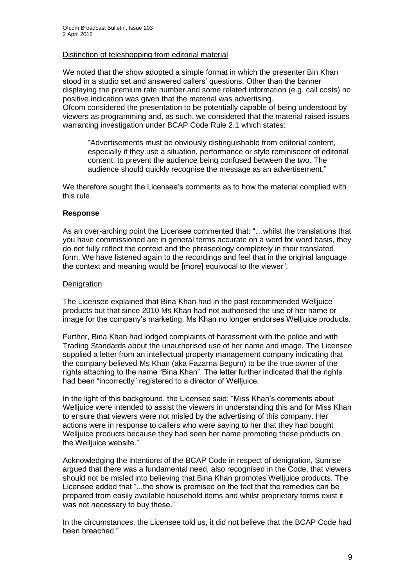#### Distinction of teleshopping from editorial material

We noted that the show adopted a simple format in which the presenter Bin Khan stood in a studio set and answered callers' questions. Other than the banner displaying the premium rate number and some related information (e.g. call costs) no positive indication was given that the material was advertising. Ofcom considered the presentation to be potentially capable of being understood by viewers as programming and, as such, we considered that the material raised issues warranting investigation under BCAP Code Rule 2.1 which states:

"Advertisements must be obviously distinguishable from editorial content, especially if they use a situation, performance or style reminiscent of editorial content, to prevent the audience being confused between the two. The audience should quickly recognise the message as an advertisement."

We therefore sought the Licensee's comments as to how the material complied with this rule.

#### **Response**

As an over-arching point the Licensee commented that: "…whilst the translations that you have commissioned are in general terms accurate on a word for word basis, they do not fully reflect the context and the phraseology completely in their translated form. We have listened again to the recordings and feel that in the original language the context and meaning would be [more] equivocal to the viewer".

#### **Denigration**

The Licensee explained that Bina Khan had in the past recommended Welljuice products but that since 2010 Ms Khan had not authorised the use of her name or image for the company"s marketing. Ms Khan no longer endorses Welljuice products.

Further, Bina Khan had lodged complaints of harassment with the police and with Trading Standards about the unauthorised use of her name and image. The Licensee supplied a letter from an intellectual property management company indicating that the company believed Ms Khan (aka Fazarna Begum) to be the true owner of the rights attaching to the name "Bina Khan". The letter further indicated that the rights had been "incorrectly" registered to a director of Welljuice.

In the light of this background, the Licensee said: "Miss Khan"s comments about Welljuice were intended to assist the viewers in understanding this and for Miss Khan to ensure that viewers were not misled by the advertising of this company. Her actions were in response to callers who were saying to her that they had bought Welljuice products because they had seen her name promoting these products on the Welljuice website."

Acknowledging the intentions of the BCAP Code in respect of denigration, Sunrise argued that there was a fundamental need, also recognised in the Code, that viewers should not be misled into believing that Bina Khan promotes Welljuice products. The Licensee added that "...the show is premised on the fact that the remedies can be prepared from easily available household items and whilst proprietary forms exist it was not necessary to buy these."

In the circumstances, the Licensee told us, it did not believe that the BCAP Code had been breached."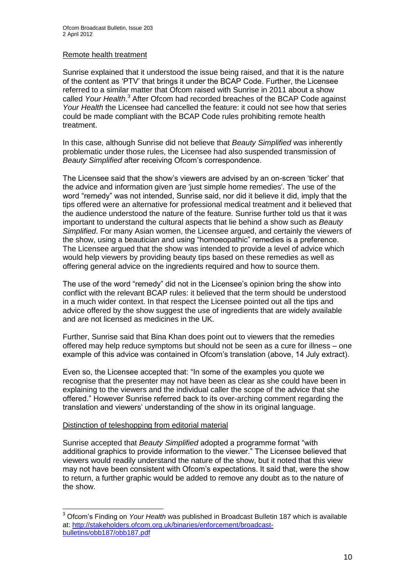#### Remote health treatment

Sunrise explained that it understood the issue being raised, and that it is the nature of the content as "PTV" that brings it under the BCAP Code. Further, the Licensee referred to a similar matter that Ofcom raised with Sunrise in 2011 about a show called *Your Health*. <sup>3</sup> After Ofcom had recorded breaches of the BCAP Code against *Your Health* the Licensee had cancelled the feature: it could not see how that series could be made compliant with the BCAP Code rules prohibiting remote health treatment.

In this case, although Sunrise did not believe that *Beauty Simplified* was inherently problematic under those rules, the Licensee had also suspended transmission of *Beauty Simplified* after receiving Ofcom"s correspondence.

The Licensee said that the show"s viewers are advised by an on-screen "ticker" that the advice and information given are 'just simple home remedies'. The use of the word "remedy" was not intended, Sunrise said, nor did it believe it did, imply that the tips offered were an alternative for professional medical treatment and it believed that the audience understood the nature of the feature. Sunrise further told us that it was important to understand the cultural aspects that lie behind a show such as *Beauty Simplified*. For many Asian women, the Licensee argued, and certainly the viewers of the show, using a beautician and using "homoeopathic" remedies is a preference. The Licensee argued that the show was intended to provide a level of advice which would help viewers by providing beauty tips based on these remedies as well as offering general advice on the ingredients required and how to source them.

The use of the word "remedy" did not in the Licensee"s opinion bring the show into conflict with the relevant BCAP rules: it believed that the term should be understood in a much wider context. In that respect the Licensee pointed out all the tips and advice offered by the show suggest the use of ingredients that are widely available and are not licensed as medicines in the UK.

Further, Sunrise said that Bina Khan does point out to viewers that the remedies offered may help reduce symptoms but should not be seen as a cure for illness – one example of this advice was contained in Ofcom"s translation (above, 14 July extract).

Even so, the Licensee accepted that: "In some of the examples you quote we recognise that the presenter may not have been as clear as she could have been in explaining to the viewers and the individual caller the scope of the advice that she offered." However Sunrise referred back to its over-arching comment regarding the translation and viewers" understanding of the show in its original language.

#### Distinction of teleshopping from editorial material

1

Sunrise accepted that *Beauty Simplified* adopted a programme format "with additional graphics to provide information to the viewer." The Licensee believed that viewers would readily understand the nature of the show, but it noted that this view may not have been consistent with Ofcom"s expectations. It said that, were the show to return, a further graphic would be added to remove any doubt as to the nature of the show.

<sup>3</sup> Ofcom"s Finding on *Your Health* was published in Broadcast Bulletin 187 which is available at: [http://stakeholders.ofcom.org.uk/binaries/enforcement/broadcast](http://stakeholders.ofcom.org.uk/binaries/enforcement/broadcast-bulletins/obb187/obb187.pdf)[bulletins/obb187/obb187.pdf](http://stakeholders.ofcom.org.uk/binaries/enforcement/broadcast-bulletins/obb187/obb187.pdf)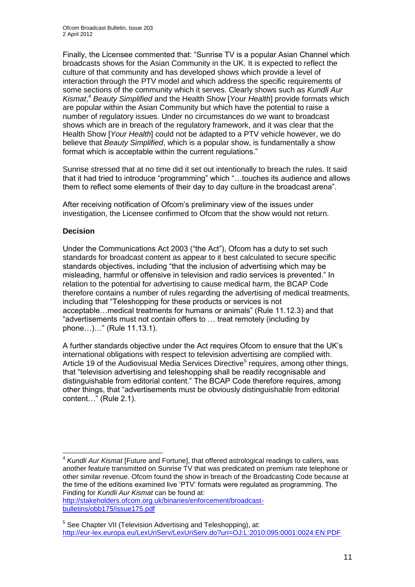Finally, the Licensee commented that: "Sunrise TV is a popular Asian Channel which broadcasts shows for the Asian Community in the UK. It is expected to reflect the culture of that community and has developed shows which provide a level of interaction through the PTV model and which address the specific requirements of some sections of the community which it serves. Clearly shows such as *Kundli Aur Kismat*, <sup>4</sup> *Beauty Simplified* and the Health Show [*Your Health*] provide formats which are popular within the Asian Community but which have the potential to raise a number of regulatory issues. Under no circumstances do we want to broadcast shows which are in breach of the regulatory framework, and it was clear that the Health Show [*Your Health*] could not be adapted to a PTV vehicle however, we do believe that *Beauty Simplified*, which is a popular show, is fundamentally a show format which is acceptable within the current regulations."

Sunrise stressed that at no time did it set out intentionally to breach the rules. It said that it had tried to introduce "programming" which "…touches its audience and allows them to reflect some elements of their day to day culture in the broadcast arena".

After receiving notification of Ofcom"s preliminary view of the issues under investigation, the Licensee confirmed to Ofcom that the show would not return.

#### **Decision**

 $\overline{\phantom{a}}$ 

Under the Communications Act 2003 ("the Act"), Ofcom has a duty to set such standards for broadcast content as appear to it best calculated to secure specific standards objectives, including "that the inclusion of advertising which may be misleading, harmful or offensive in television and radio services is prevented." In relation to the potential for advertising to cause medical harm, the BCAP Code therefore contains a number of rules regarding the advertising of medical treatments, including that "Teleshopping for these products or services is not acceptable…medical treatments for humans or animals" (Rule 11.12.3) and that "advertisements must not contain offers to … treat remotely (including by phone…)…" (Rule 11.13.1).

A further standards objective under the Act requires Ofcom to ensure that the UK"s international obligations with respect to television advertising are complied with. Article 19 of the Audiovisual Media Services Directive<sup>5</sup> requires, among other things, that "television advertising and teleshopping shall be readily recognisable and distinguishable from editorial content." The BCAP Code therefore requires, among other things, that "advertisements must be obviously distinguishable from editorial content…" (Rule 2.1).

4 *Kundli Aur Kismat* [Future and Fortune], that offered astrological readings to callers, was another feature transmitted on Sunrise TV that was predicated on premium rate telephone or other similar revenue. Ofcom found the show in breach of the Broadcasting Code because at the time of the editions examined live "PTV" formats were regulated as programming. The Finding for *Kundli Aur Kismat* can be found at:

[http://stakeholders.ofcom.org.uk/binaries/enforcement/broadcast](http://stakeholders.ofcom.org.uk/binaries/enforcement/broadcast-bulletins/obb175/issue175.pdf)[bulletins/obb175/issue175.pdf](http://stakeholders.ofcom.org.uk/binaries/enforcement/broadcast-bulletins/obb175/issue175.pdf)

<sup>&</sup>lt;sup>5</sup> See Chapter VII (Television Advertising and Teleshopping), at: <http://eur-lex.europa.eu/LexUriServ/LexUriServ.do?uri=OJ:L:2010:095:0001:0024:EN:PDF>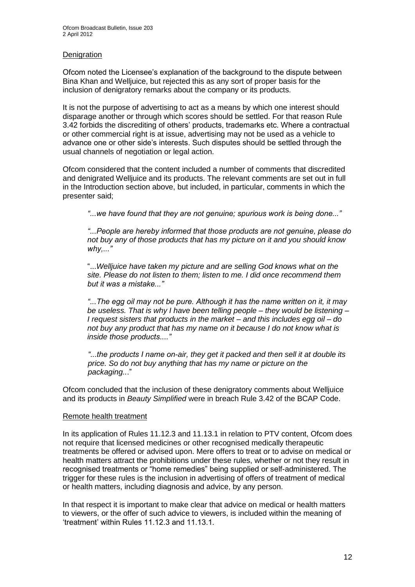#### **Denigration**

Ofcom noted the Licensee"s explanation of the background to the dispute between Bina Khan and Welljuice, but rejected this as any sort of proper basis for the inclusion of denigratory remarks about the company or its products.

It is not the purpose of advertising to act as a means by which one interest should disparage another or through which scores should be settled. For that reason Rule 3.42 forbids the discrediting of others" products, trademarks etc. Where a contractual or other commercial right is at issue, advertising may not be used as a vehicle to advance one or other side"s interests. Such disputes should be settled through the usual channels of negotiation or legal action.

Ofcom considered that the content included a number of comments that discredited and denigrated Welljuice and its products. The relevant comments are set out in full in the Introduction section above, but included, in particular, comments in which the presenter said;

*"...we have found that they are not genuine; spurious work is being done..."*

*"...People are hereby informed that those products are not genuine, please do not buy any of those products that has my picture on it and you should know why,..."*

"...*Welljuice have taken my picture and are selling God knows what on the site. Please do not listen to them; listen to me. I did once recommend them but it was a mistake..."*

*"...The egg oil may not be pure. Although it has the name written on it, it may be useless. That is why I have been telling people – they would be listening – I request sisters that products in the market – and this includes egg oil – do not buy any product that has my name on it because I do not know what is inside those products...."*

*"...the products I name on-air, they get it packed and then sell it at double its price. So do not buy anything that has my name or picture on the packaging..*."

Ofcom concluded that the inclusion of these denigratory comments about Welljuice and its products in *Beauty Simplified* were in breach Rule 3.42 of the BCAP Code.

#### Remote health treatment

In its application of Rules 11.12.3 and 11.13.1 in relation to PTV content, Ofcom does not require that licensed medicines or other recognised medically therapeutic treatments be offered or advised upon. Mere offers to treat or to advise on medical or health matters attract the prohibitions under these rules, whether or not they result in recognised treatments or "home remedies" being supplied or self-administered. The trigger for these rules is the inclusion in advertising of offers of treatment of medical or health matters, including diagnosis and advice, by any person.

In that respect it is important to make clear that advice on medical or health matters to viewers, or the offer of such advice to viewers, is included within the meaning of "treatment" within Rules 11.12.3 and 11.13.1.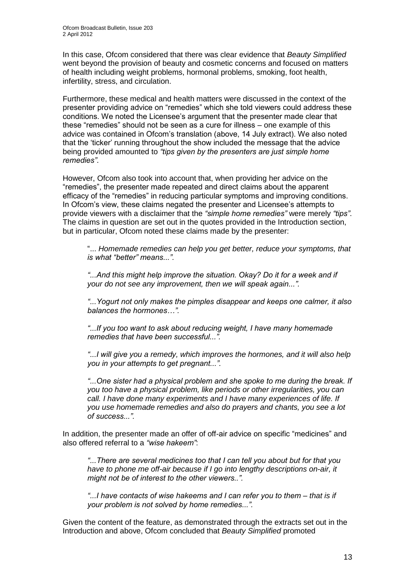In this case, Ofcom considered that there was clear evidence that *Beauty Simplified* went beyond the provision of beauty and cosmetic concerns and focused on matters of health including weight problems, hormonal problems, smoking, foot health, infertility, stress, and circulation.

Furthermore, these medical and health matters were discussed in the context of the presenter providing advice on "remedies" which she told viewers could address these conditions. We noted the Licensee"s argument that the presenter made clear that these "remedies" should not be seen as a cure for illness – one example of this advice was contained in Ofcom"s translation (above, 14 July extract). We also noted that the "ticker" running throughout the show included the message that the advice being provided amounted to *"tips given by the presenters are just simple home remedies"*.

However, Ofcom also took into account that, when providing her advice on the "remedies", the presenter made repeated and direct claims about the apparent efficacy of the "remedies" in reducing particular symptoms and improving conditions. In Ofcom's view, these claims negated the presenter and Licensee's attempts to provide viewers with a disclaimer that the *"simple home remedies"* were merely *"tips"*. The claims in question are set out in the quotes provided in the Introduction section, but in particular, Ofcom noted these claims made by the presenter:

"... *Homemade remedies can help you get better, reduce your symptoms, that is what "better" means...".*

*"...And this might help improve the situation. Okay? Do it for a week and if your do not see any improvement, then we will speak again...".*

*"...Yogurt not only makes the pimples disappear and keeps one calmer, it also balances the hormones…".*

*"...If you too want to ask about reducing weight, I have many homemade remedies that have been successful...".*

*"...I will give you a remedy, which improves the hormones, and it will also help you in your attempts to get pregnant...".*

*"...One sister had a physical problem and she spoke to me during the break. If you too have a physical problem, like periods or other irregularities, you can call. I have done many experiments and I have many experiences of life. If you use homemade remedies and also do prayers and chants, you see a lot of success...".*

In addition, the presenter made an offer of off-air advice on specific "medicines" and also offered referral to a *"wise hakeem"*:

*"...There are several medicines too that I can tell you about but for that you have to phone me off-air because if I go into lengthy descriptions on-air, it might not be of interest to the other viewers..".*

*"...I have contacts of wise hakeems and I can refer you to them – that is if your problem is not solved by home remedies...".*

Given the content of the feature, as demonstrated through the extracts set out in the Introduction and above, Ofcom concluded that *Beauty Simplified* promoted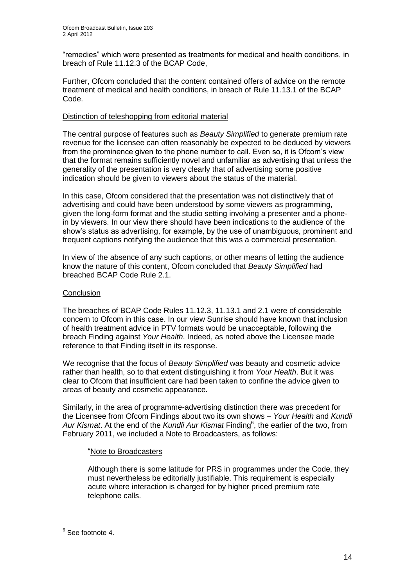"remedies" which were presented as treatments for medical and health conditions, in breach of Rule 11.12.3 of the BCAP Code,

Further, Ofcom concluded that the content contained offers of advice on the remote treatment of medical and health conditions, in breach of Rule 11.13.1 of the BCAP Code.

#### Distinction of teleshopping from editorial material

The central purpose of features such as *Beauty Simplified* to generate premium rate revenue for the licensee can often reasonably be expected to be deduced by viewers from the prominence given to the phone number to call. Even so, it is Ofcom"s view that the format remains sufficiently novel and unfamiliar as advertising that unless the generality of the presentation is very clearly that of advertising some positive indication should be given to viewers about the status of the material.

In this case, Ofcom considered that the presentation was not distinctively that of advertising and could have been understood by some viewers as programming, given the long-form format and the studio setting involving a presenter and a phonein by viewers. In our view there should have been indications to the audience of the show"s status as advertising, for example, by the use of unambiguous, prominent and frequent captions notifying the audience that this was a commercial presentation.

In view of the absence of any such captions, or other means of letting the audience know the nature of this content, Ofcom concluded that *Beauty Simplified* had breached BCAP Code Rule 2.1.

#### **Conclusion**

The breaches of BCAP Code Rules 11.12.3, 11.13.1 and 2.1 were of considerable concern to Ofcom in this case. In our view Sunrise should have known that inclusion of health treatment advice in PTV formats would be unacceptable, following the breach Finding against *Your Health*. Indeed, as noted above the Licensee made reference to that Finding itself in its response.

We recognise that the focus of *Beauty Simplified* was beauty and cosmetic advice rather than health, so to that extent distinguishing it from *Your Health*. But it was clear to Ofcom that insufficient care had been taken to confine the advice given to areas of beauty and cosmetic appearance.

Similarly, in the area of programme-advertising distinction there was precedent for the Licensee from Ofcom Findings about two its own shows – *Your Health* and *Kundli*  Aur Kismat. At the end of the Kundli Aur Kismat Finding<sup>6</sup>, the earlier of the two, from February 2011, we included a Note to Broadcasters, as follows:

#### "Note to Broadcasters

Although there is some latitude for PRS in programmes under the Code, they must nevertheless be editorially justifiable. This requirement is especially acute where interaction is charged for by higher priced premium rate telephone calls.

 6 See footnote 4.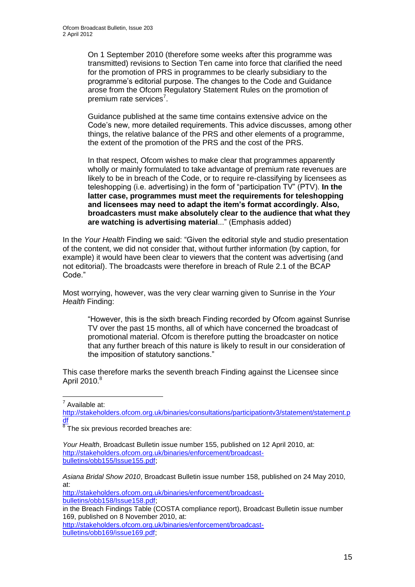On 1 September 2010 (therefore some weeks after this programme was transmitted) revisions to Section Ten came into force that clarified the need for the promotion of PRS in programmes to be clearly subsidiary to the programme"s editorial purpose. The changes to the Code and Guidance arose from the Ofcom Regulatory Statement Rules on the promotion of premium rate services<sup>7</sup>.

Guidance published at the same time contains extensive advice on the Code"s new, more detailed requirements. This advice discusses, among other things, the relative balance of the PRS and other elements of a programme, the extent of the promotion of the PRS and the cost of the PRS.

In that respect, Ofcom wishes to make clear that programmes apparently wholly or mainly formulated to take advantage of premium rate revenues are likely to be in breach of the Code, or to require re-classifying by licensees as teleshopping (i.e. advertising) in the form of "participation TV" (PTV). **In the latter case, programmes must meet the requirements for teleshopping and licensees may need to adapt the item's format accordingly. Also, broadcasters must make absolutely clear to the audience that what they are watching is advertising material**..." (Emphasis added)

In the *Your Health* Finding we said: "Given the editorial style and studio presentation of the content, we did not consider that, without further information (by caption, for example) it would have been clear to viewers that the content was advertising (and not editorial). The broadcasts were therefore in breach of Rule 2.1 of the BCAP Code."

Most worrying, however, was the very clear warning given to Sunrise in the *Your Health* Finding:

"However, this is the sixth breach Finding recorded by Ofcom against Sunrise TV over the past 15 months, all of which have concerned the broadcast of promotional material. Ofcom is therefore putting the broadcaster on notice that any further breach of this nature is likely to result in our consideration of the imposition of statutory sanctions."

This case therefore marks the seventh breach Finding against the Licensee since April 2010.<sup>8</sup>

T<br>Available at:

[http://stakeholders.ofcom.org.uk/binaries/consultations/participationtv3/statement/statement.p](http://stakeholders.ofcom.org.uk/binaries/consultations/participationtv3/statement/statement.pdf) [df](http://stakeholders.ofcom.org.uk/binaries/consultations/participationtv3/statement/statement.pdf)

*Asiana Bridal Show 2010*, Broadcast Bulletin issue number 158, published on 24 May 2010, at:

[http://stakeholders.ofcom.org.uk/binaries/enforcement/broadcast](http://stakeholders.ofcom.org.uk/binaries/enforcement/broadcast-bulletins/obb158/Issue158.pdf)[bulletins/obb158/Issue158.pdf;](http://stakeholders.ofcom.org.uk/binaries/enforcement/broadcast-bulletins/obb158/Issue158.pdf)

[http://stakeholders.ofcom.org.uk/binaries/enforcement/broadcast](http://stakeholders.ofcom.org.uk/binaries/enforcement/broadcast-bulletins/obb169/issue169.pdf)[bulletins/obb169/issue169.pdf;](http://stakeholders.ofcom.org.uk/binaries/enforcement/broadcast-bulletins/obb169/issue169.pdf)

 $\overline{8}$ The six previous recorded breaches are:

*Your Health*, Broadcast Bulletin issue number 155, published on 12 April 2010, at: [http://stakeholders.ofcom.org.uk/binaries/enforcement/broadcast](http://stakeholders.ofcom.org.uk/binaries/enforcement/broadcast-bulletins/obb155/Issue155.pdf)[bulletins/obb155/Issue155.pdf;](http://stakeholders.ofcom.org.uk/binaries/enforcement/broadcast-bulletins/obb155/Issue155.pdf)

in the Breach Findings Table (COSTA compliance report), Broadcast Bulletin issue number 169, published on 8 November 2010, at: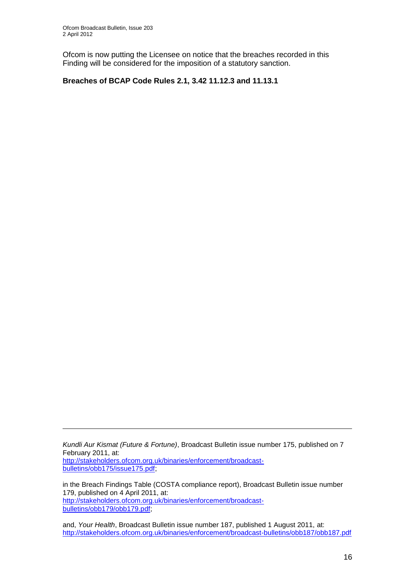<u>.</u>

Ofcom is now putting the Licensee on notice that the breaches recorded in this Finding will be considered for the imposition of a statutory sanction.

#### **Breaches of BCAP Code Rules 2.1, 3.42 11.12.3 and 11.13.1**

*Kundli Aur Kismat (Future & Fortune)*, Broadcast Bulletin issue number 175, published on 7 February 2011, at: [http://stakeholders.ofcom.org.uk/binaries/enforcement/broadcast](http://stakeholders.ofcom.org.uk/binaries/enforcement/broadcast-bulletins/obb175/issue175.pdf)[bulletins/obb175/issue175.pdf;](http://stakeholders.ofcom.org.uk/binaries/enforcement/broadcast-bulletins/obb175/issue175.pdf)

in the Breach Findings Table (COSTA compliance report), Broadcast Bulletin issue number 179, published on 4 April 2011, at: [http://stakeholders.ofcom.org.uk/binaries/enforcement/broadcast](http://stakeholders.ofcom.org.uk/binaries/enforcement/broadcast-bulletins/obb179/obb179.pdf)[bulletins/obb179/obb179.pdf;](http://stakeholders.ofcom.org.uk/binaries/enforcement/broadcast-bulletins/obb179/obb179.pdf)

and, *Your Health*, Broadcast Bulletin issue number 187, published 1 August 2011, at: <http://stakeholders.ofcom.org.uk/binaries/enforcement/broadcast-bulletins/obb187/obb187.pdf>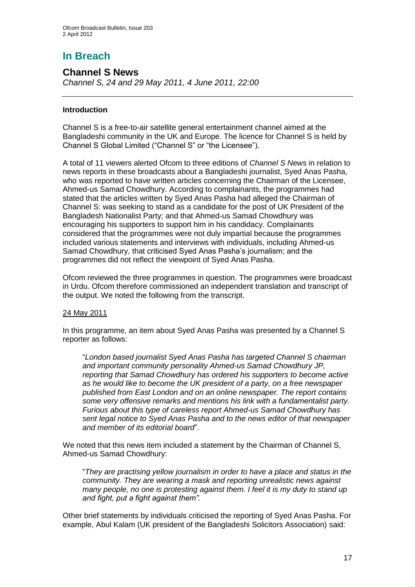# **In Breach**

## **Channel S News**

*Channel S, 24 and 29 May 2011, 4 June 2011, 22:00*

#### **Introduction**

Channel S is a free-to-air satellite general entertainment channel aimed at the Bangladeshi community in the UK and Europe. The licence for Channel S is held by Channel S Global Limited ("Channel S" or "the Licensee").

A total of 11 viewers alerted Ofcom to three editions of *Channel S News* in relation to news reports in these broadcasts about a Bangladeshi journalist, Syed Anas Pasha, who was reported to have written articles concerning the Chairman of the Licensee, Ahmed-us Samad Chowdhury. According to complainants, the programmes had stated that the articles written by Syed Anas Pasha had alleged the Chairman of Channel S: was seeking to stand as a candidate for the post of UK President of the Bangladesh Nationalist Party; and that Ahmed-us Samad Chowdhury was encouraging his supporters to support him in his candidacy. Complainants considered that the programmes were not duly impartial because the programmes included various statements and interviews with individuals, including Ahmed-us Samad Chowdhury, that criticised Syed Anas Pasha"s journalism; and the programmes did not reflect the viewpoint of Syed Anas Pasha.

Ofcom reviewed the three programmes in question. The programmes were broadcast in Urdu. Ofcom therefore commissioned an independent translation and transcript of the output. We noted the following from the transcript.

#### 24 May 2011

In this programme, an item about Syed Anas Pasha was presented by a Channel S reporter as follows:

"*London based journalist Syed Anas Pasha has targeted Channel S chairman and important community personality Ahmed-us Samad Chowdhury JP, reporting that Samad Chowdhury has ordered his supporters to become active as he would like to become the UK president of a party, on a free newspaper published from East London and on an online newspaper. The report contains some very offensive remarks and mentions his link with a fundamentalist party. Furious about this type of careless report Ahmed-us Samad Chowdhury has sent legal notice to Syed Anas Pasha and to the news editor of that newspaper and member of its editorial board*".

We noted that this news item included a statement by the Chairman of Channel S, Ahmed-us Samad Chowdhury:

"*They are practising yellow journalism in order to have a place and status in the community. They are wearing a mask and reporting unrealistic news against many people, no one is protesting against them. I feel it is my duty to stand up and fight, put a fight against them".*

Other brief statements by individuals criticised the reporting of Syed Anas Pasha. For example, Abul Kalam (UK president of the Bangladeshi Solicitors Association) said: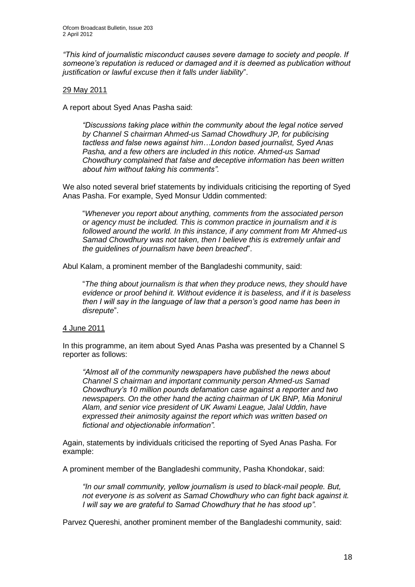*"This kind of journalistic misconduct causes severe damage to society and people. If someone's reputation is reduced or damaged and it is deemed as publication without justification or lawful excuse then it falls under liability*".

#### 29 May 2011

A report about Syed Anas Pasha said:

*"Discussions taking place within the community about the legal notice served by Channel S chairman Ahmed-us Samad Chowdhury JP, for publicising tactless and false news against him…London based journalist, Syed Anas Pasha, and a few others are included in this notice. Ahmed-us Samad Chowdhury complained that false and deceptive information has been written about him without taking his comments".* 

We also noted several brief statements by individuals criticising the reporting of Syed Anas Pasha. For example, Syed Monsur Uddin commented:

"*Whenever you report about anything, comments from the associated person or agency must be included. This is common practice in journalism and it is followed around the world. In this instance, if any comment from Mr Ahmed-us Samad Chowdhury was not taken, then I believe this is extremely unfair and the guidelines of journalism have been breached*".

Abul Kalam, a prominent member of the Bangladeshi community, said:

"*The thing about journalism is that when they produce news, they should have evidence or proof behind it. Without evidence it is baseless, and if it is baseless then I will say in the language of law that a person's good name has been in disrepute*".

#### 4 June 2011

In this programme, an item about Syed Anas Pasha was presented by a Channel S reporter as follows:

*"Almost all of the community newspapers have published the news about Channel S chairman and important community person Ahmed-us Samad Chowdhury's 10 million pounds defamation case against a reporter and two newspapers. On the other hand the acting chairman of UK BNP, Mia Monirul Alam, and senior vice president of UK Awami League, Jalal Uddin, have expressed their animosity against the report which was written based on fictional and objectionable information".*

Again, statements by individuals criticised the reporting of Syed Anas Pasha. For example:

A prominent member of the Bangladeshi community, Pasha Khondokar, said:

*"In our small community, yellow journalism is used to black-mail people. But, not everyone is as solvent as Samad Chowdhury who can fight back against it. I will say we are grateful to Samad Chowdhury that he has stood up".*

Parvez Quereshi, another prominent member of the Bangladeshi community, said: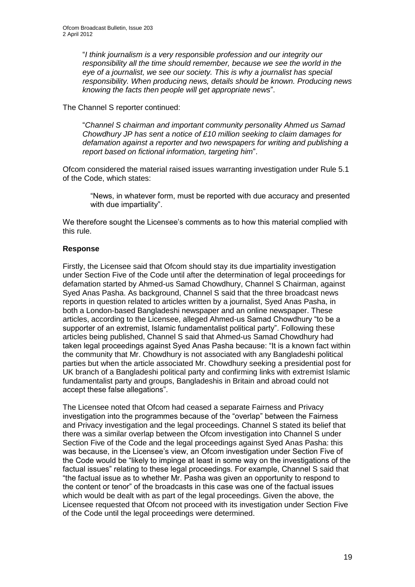"*I think journalism is a very responsible profession and our integrity our responsibility all the time should remember, because we see the world in the eye of a journalist, we see our society. This is why a journalist has special responsibility. When producing news, details should be known. Producing news knowing the facts then people will get appropriate news*".

The Channel S reporter continued:

"*Channel S chairman and important community personality Ahmed us Samad Chowdhury JP has sent a notice of £10 million seeking to claim damages for defamation against a reporter and two newspapers for writing and publishing a report based on fictional information, targeting him*".

Ofcom considered the material raised issues warranting investigation under Rule 5.1 of the Code, which states:

"News, in whatever form, must be reported with due accuracy and presented with due impartiality".

We therefore sought the Licensee's comments as to how this material complied with this rule.

#### **Response**

Firstly, the Licensee said that Ofcom should stay its due impartiality investigation under Section Five of the Code until after the determination of legal proceedings for defamation started by Ahmed-us Samad Chowdhury, Channel S Chairman, against Syed Anas Pasha. As background, Channel S said that the three broadcast news reports in question related to articles written by a journalist, Syed Anas Pasha, in both a London-based Bangladeshi newspaper and an online newspaper. These articles, according to the Licensee, alleged Ahmed-us Samad Chowdhury "to be a supporter of an extremist, Islamic fundamentalist political party". Following these articles being published, Channel S said that Ahmed-us Samad Chowdhury had taken legal proceedings against Syed Anas Pasha because: "It is a known fact within the community that Mr. Chowdhury is not associated with any Bangladeshi political parties but when the article associated Mr. Chowdhury seeking a presidential post for UK branch of a Bangladeshi political party and confirming links with extremist Islamic fundamentalist party and groups, Bangladeshis in Britain and abroad could not accept these false allegations".

The Licensee noted that Ofcom had ceased a separate Fairness and Privacy investigation into the programmes because of the "overlap" between the Fairness and Privacy investigation and the legal proceedings. Channel S stated its belief that there was a similar overlap between the Ofcom investigation into Channel S under Section Five of the Code and the legal proceedings against Syed Anas Pasha: this was because, in the Licensee"s view, an Ofcom investigation under Section Five of the Code would be "likely to impinge at least in some way on the investigations of the factual issues" relating to these legal proceedings. For example, Channel S said that "the factual issue as to whether Mr. Pasha was given an opportunity to respond to the content or tenor" of the broadcasts in this case was one of the factual issues which would be dealt with as part of the legal proceedings. Given the above, the Licensee requested that Ofcom not proceed with its investigation under Section Five of the Code until the legal proceedings were determined.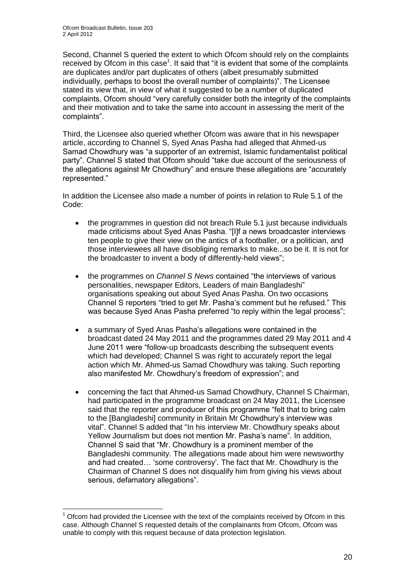Second, Channel S queried the extent to which Ofcom should rely on the complaints received by Ofcom in this case<sup>1</sup>. It said that "it is evident that some of the complaints are duplicates and/or part duplicates of others (albeit presumably submitted individually, perhaps to boost the overall number of complaints)". The Licensee stated its view that, in view of what it suggested to be a number of duplicated complaints, Ofcom should "very carefully consider both the integrity of the complaints and their motivation and to take the same into account in assessing the merit of the complaints".

Third, the Licensee also queried whether Ofcom was aware that in his newspaper article, according to Channel S, Syed Anas Pasha had alleged that Ahmed-us Samad Chowdhury was "a supporter of an extremist, Islamic fundamentalist political party". Channel S stated that Ofcom should "take due account of the seriousness of the allegations against Mr Chowdhury" and ensure these allegations are "accurately represented."

In addition the Licensee also made a number of points in relation to Rule 5.1 of the Code:

- the programmes in question did not breach Rule 5.1 just because individuals made criticisms about Syed Anas Pasha. "[I]f a news broadcaster interviews ten people to give their view on the antics of a footballer, or a politician, and those interviewees all have disobliging remarks to make...so be it. It is not for the broadcaster to invent a body of differently-held views";
- the programmes on *Channel S News* contained "the interviews of various personalities, newspaper Editors, Leaders of main Bangladeshi" organisations speaking out about Syed Anas Pasha. On two occasions Channel S reporters "tried to get Mr. Pasha"s comment but he refused." This was because Syed Anas Pasha preferred "to reply within the legal process";
- a summary of Syed Anas Pasha"s allegations were contained in the broadcast dated 24 May 2011 and the programmes dated 29 May 2011 and 4 June 2011 were "follow-up broadcasts describing the subsequent events which had developed: Channel S was right to accurately report the legal action which Mr. Ahmed-us Samad Chowdhury was taking. Such reporting also manifested Mr. Chowdhury's freedom of expression"; and
- concerning the fact that Ahmed-us Samad Chowdhury, Channel S Chairman, had participated in the programme broadcast on 24 May 2011, the Licensee said that the reporter and producer of this programme "felt that to bring calm to the [Bangladeshi] community in Britain Mr Chowdhury"s interview was vital". Channel S added that "In his interview Mr. Chowdhury speaks about Yellow Journalism but does not mention Mr. Pasha's name". In addition, Channel S said that "Mr. Chowdhury is a prominent member of the Bangladeshi community. The allegations made about him were newsworthy and had created... 'some controversy'. The fact that Mr. Chowdhury is the Chairman of Channel S does not disqualify him from giving his views about serious, defamatory allegations".

<sup>1</sup>  $<sup>1</sup>$  Ofcom had provided the Licensee with the text of the complaints received by Ofcom in this</sup> case. Although Channel S requested details of the complainants from Ofcom, Ofcom was unable to comply with this request because of data protection legislation.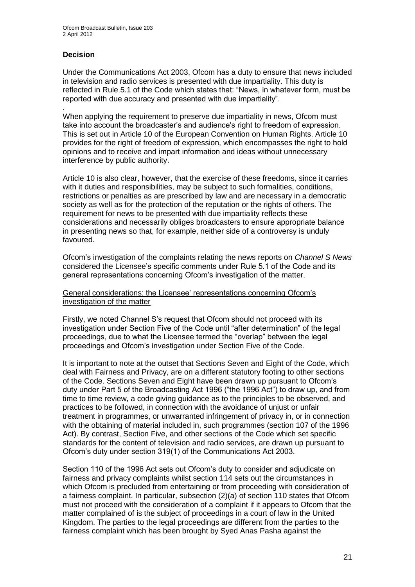#### **Decision**

.

Under the Communications Act 2003, Ofcom has a duty to ensure that news included in television and radio services is presented with due impartiality. This duty is reflected in Rule 5.1 of the Code which states that: "News, in whatever form, must be reported with due accuracy and presented with due impartiality".

When applying the requirement to preserve due impartiality in news, Ofcom must take into account the broadcaster"s and audience"s right to freedom of expression. This is set out in Article 10 of the European Convention on Human Rights. Article 10 provides for the right of freedom of expression, which encompasses the right to hold opinions and to receive and impart information and ideas without unnecessary interference by public authority.

Article 10 is also clear, however, that the exercise of these freedoms, since it carries with it duties and responsibilities, may be subject to such formalities, conditions, restrictions or penalties as are prescribed by law and are necessary in a democratic society as well as for the protection of the reputation or the rights of others. The requirement for news to be presented with due impartiality reflects these considerations and necessarily obliges broadcasters to ensure appropriate balance in presenting news so that, for example, neither side of a controversy is unduly favoured.

Ofcom"s investigation of the complaints relating the news reports on *Channel S News* considered the Licensee"s specific comments under Rule 5.1 of the Code and its general representations concerning Ofcom"s investigation of the matter.

General considerations: the Licensee" representations concerning Ofcom"s investigation of the matter

Firstly, we noted Channel S"s request that Ofcom should not proceed with its investigation under Section Five of the Code until "after determination" of the legal proceedings, due to what the Licensee termed the "overlap" between the legal proceedings and Ofcom"s investigation under Section Five of the Code.

It is important to note at the outset that Sections Seven and Eight of the Code, which deal with Fairness and Privacy, are on a different statutory footing to other sections of the Code. Sections Seven and Eight have been drawn up pursuant to Ofcom"s duty under Part 5 of the Broadcasting Act 1996 ("the 1996 Act") to draw up, and from time to time review, a code giving guidance as to the principles to be observed, and practices to be followed, in connection with the avoidance of unjust or unfair treatment in programmes, or unwarranted infringement of privacy in, or in connection with the obtaining of material included in, such programmes (section 107 of the 1996 Act). By contrast, Section Five, and other sections of the Code which set specific standards for the content of television and radio services, are drawn up pursuant to Ofcom"s duty under section 319(1) of the Communications Act 2003.

Section 110 of the 1996 Act sets out Ofcom"s duty to consider and adjudicate on fairness and privacy complaints whilst section 114 sets out the circumstances in which Ofcom is precluded from entertaining or from proceeding with consideration of a fairness complaint. In particular, subsection (2)(a) of section 110 states that Ofcom must not proceed with the consideration of a complaint if it appears to Ofcom that the matter complained of is the subject of proceedings in a court of law in the United Kingdom. The parties to the legal proceedings are different from the parties to the fairness complaint which has been brought by Syed Anas Pasha against the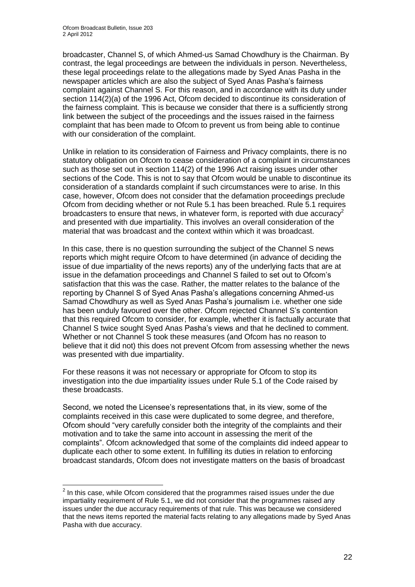1

broadcaster, Channel S, of which Ahmed-us Samad Chowdhury is the Chairman. By contrast, the legal proceedings are between the individuals in person. Nevertheless, these legal proceedings relate to the allegations made by Syed Anas Pasha in the newspaper articles which are also the subject of Syed Anas Pasha"s fairness complaint against Channel S. For this reason, and in accordance with its duty under section 114(2)(a) of the 1996 Act, Ofcom decided to discontinue its consideration of the fairness complaint. This is because we consider that there is a sufficiently strong link between the subject of the proceedings and the issues raised in the fairness complaint that has been made to Ofcom to prevent us from being able to continue with our consideration of the complaint.

Unlike in relation to its consideration of Fairness and Privacy complaints, there is no statutory obligation on Ofcom to cease consideration of a complaint in circumstances such as those set out in section 114(2) of the 1996 Act raising issues under other sections of the Code. This is not to say that Ofcom would be unable to discontinue its consideration of a standards complaint if such circumstances were to arise. In this case, however, Ofcom does not consider that the defamation proceedings preclude Ofcom from deciding whether or not Rule 5.1 has been breached. Rule 5.1 requires broadcasters to ensure that news, in whatever form, is reported with due accuracy<sup>2</sup> and presented with due impartiality. This involves an overall consideration of the material that was broadcast and the context within which it was broadcast.

In this case, there is no question surrounding the subject of the Channel S news reports which might require Ofcom to have determined (in advance of deciding the issue of due impartiality of the news reports) any of the underlying facts that are at issue in the defamation proceedings and Channel S failed to set out to Ofcom"s satisfaction that this was the case. Rather, the matter relates to the balance of the reporting by Channel S of Syed Anas Pasha"s allegations concerning Ahmed-us Samad Chowdhury as well as Syed Anas Pasha"s journalism i.e. whether one side has been unduly favoured over the other. Ofcom rejected Channel S"s contention that this required Ofcom to consider, for example, whether it is factually accurate that Channel S twice sought Syed Anas Pasha"s views and that he declined to comment. Whether or not Channel S took these measures (and Ofcom has no reason to believe that it did not) this does not prevent Ofcom from assessing whether the news was presented with due impartiality.

For these reasons it was not necessary or appropriate for Ofcom to stop its investigation into the due impartiality issues under Rule 5.1 of the Code raised by these broadcasts.

Second, we noted the Licensee's representations that, in its view, some of the complaints received in this case were duplicated to some degree, and therefore, Ofcom should "very carefully consider both the integrity of the complaints and their motivation and to take the same into account in assessing the merit of the complaints". Ofcom acknowledged that some of the complaints did indeed appear to duplicate each other to some extent. In fulfilling its duties in relation to enforcing broadcast standards, Ofcom does not investigate matters on the basis of broadcast

 $2$  In this case, while Ofcom considered that the programmes raised issues under the due impartiality requirement of Rule 5.1, we did not consider that the programmes raised any issues under the due accuracy requirements of that rule. This was because we considered that the news items reported the material facts relating to any allegations made by Syed Anas Pasha with due accuracy.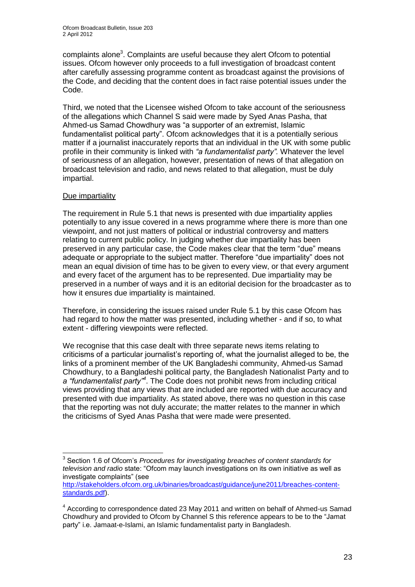complaints alone<sup>3</sup>. Complaints are useful because they alert Ofcom to potential issues. Ofcom however only proceeds to a full investigation of broadcast content after carefully assessing programme content as broadcast against the provisions of the Code, and deciding that the content does in fact raise potential issues under the Code.

Third, we noted that the Licensee wished Ofcom to take account of the seriousness of the allegations which Channel S said were made by Syed Anas Pasha, that Ahmed-us Samad Chowdhury was "a supporter of an extremist, Islamic fundamentalist political party". Ofcom acknowledges that it is a potentially serious matter if a journalist inaccurately reports that an individual in the UK with some public profile in their community is linked with *"a fundamentalist party".* Whatever the level of seriousness of an allegation, however, presentation of news of that allegation on broadcast television and radio, and news related to that allegation, must be duly impartial.

#### Due impartiality

The requirement in Rule 5.1 that news is presented with due impartiality applies potentially to any issue covered in a news programme where there is more than one viewpoint, and not just matters of political or industrial controversy and matters relating to current public policy. In judging whether due impartiality has been preserved in any particular case, the Code makes clear that the term "due" means adequate or appropriate to the subject matter. Therefore "due impartiality" does not mean an equal division of time has to be given to every view, or that every argument and every facet of the argument has to be represented. Due impartiality may be preserved in a number of ways and it is an editorial decision for the broadcaster as to how it ensures due impartiality is maintained.

Therefore, in considering the issues raised under Rule 5.1 by this case Ofcom has had regard to how the matter was presented, including whether - and if so, to what extent - differing viewpoints were reflected.

We recognise that this case dealt with three separate news items relating to criticisms of a particular journalist"s reporting of, what the journalist alleged to be, the links of a prominent member of the UK Bangladeshi community, Ahmed-us Samad Chowdhury, to a Bangladeshi political party, the Bangladesh Nationalist Party and to *a "fundamentalist party"<sup>4</sup>* . The Code does not prohibit news from including critical views providing that any views that are included are reported with due accuracy and presented with due impartiality. As stated above, there was no question in this case that the reporting was not duly accurate; the matter relates to the manner in which the criticisms of Syed Anas Pasha that were made were presented.

 $\overline{1}$ <sup>3</sup> Section 1.6 of Ofcom's *Procedures for investigating breaches of content standards for television and radio* state: "Ofcom may launch investigations on its own initiative as well as investigate complaints" (see

[http://stakeholders.ofcom.org.uk/binaries/broadcast/guidance/june2011/breaches-content](http://stakeholders.ofcom.org.uk/binaries/broadcast/guidance/june2011/breaches-content-standards.pdf)[standards.pdf\)](http://stakeholders.ofcom.org.uk/binaries/broadcast/guidance/june2011/breaches-content-standards.pdf).

<sup>&</sup>lt;sup>4</sup> According to correspondence dated 23 May 2011 and written on behalf of Ahmed-us Samad Chowdhury and provided to Ofcom by Channel S this reference appears to be to the "Jamat party" i.e. Jamaat-e-Islami, an Islamic fundamentalist party in Bangladesh.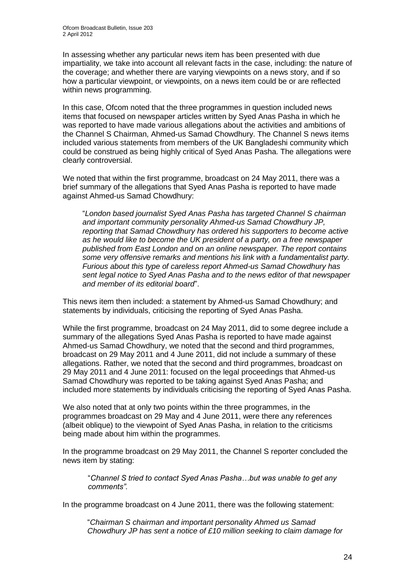In assessing whether any particular news item has been presented with due impartiality, we take into account all relevant facts in the case, including: the nature of the coverage; and whether there are varying viewpoints on a news story, and if so how a particular viewpoint, or viewpoints, on a news item could be or are reflected within news programming.

In this case, Ofcom noted that the three programmes in question included news items that focused on newspaper articles written by Syed Anas Pasha in which he was reported to have made various allegations about the activities and ambitions of the Channel S Chairman, Ahmed-us Samad Chowdhury. The Channel S news items included various statements from members of the UK Bangladeshi community which could be construed as being highly critical of Syed Anas Pasha. The allegations were clearly controversial.

We noted that within the first programme, broadcast on 24 May 2011, there was a brief summary of the allegations that Syed Anas Pasha is reported to have made against Ahmed-us Samad Chowdhury:

"*London based journalist Syed Anas Pasha has targeted Channel S chairman and important community personality Ahmed-us Samad Chowdhury JP, reporting that Samad Chowdhury has ordered his supporters to become active as he would like to become the UK president of a party, on a free newspaper published from East London and on an online newspaper. The report contains some very offensive remarks and mentions his link with a fundamentalist party. Furious about this type of careless report Ahmed-us Samad Chowdhury has sent legal notice to Syed Anas Pasha and to the news editor of that newspaper and member of its editorial board*".

This news item then included: a statement by Ahmed-us Samad Chowdhury; and statements by individuals, criticising the reporting of Syed Anas Pasha.

While the first programme, broadcast on 24 May 2011, did to some degree include a summary of the allegations Syed Anas Pasha is reported to have made against Ahmed-us Samad Chowdhury, we noted that the second and third programmes, broadcast on 29 May 2011 and 4 June 2011, did not include a summary of these allegations. Rather, we noted that the second and third programmes, broadcast on 29 May 2011 and 4 June 2011: focused on the legal proceedings that Ahmed-us Samad Chowdhury was reported to be taking against Syed Anas Pasha; and included more statements by individuals criticising the reporting of Syed Anas Pasha.

We also noted that at only two points within the three programmes, in the programmes broadcast on 29 May and 4 June 2011, were there any references (albeit oblique) to the viewpoint of Syed Anas Pasha, in relation to the criticisms being made about him within the programmes.

In the programme broadcast on 29 May 2011, the Channel S reporter concluded the news item by stating:

"*Channel S tried to contact Syed Anas Pasha…but was unable to get any comments".*

In the programme broadcast on 4 June 2011, there was the following statement:

"*Chairman S chairman and important personality Ahmed us Samad Chowdhury JP has sent a notice of £10 million seeking to claim damage for*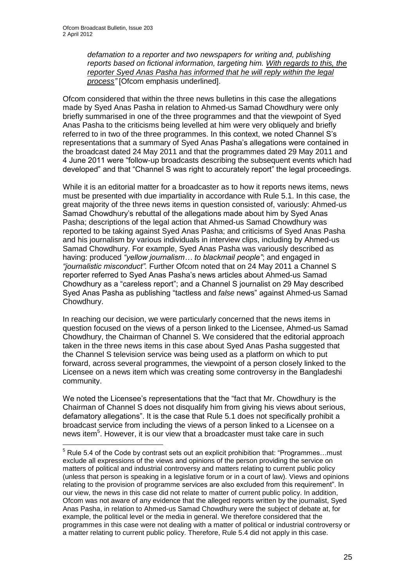1

*defamation to a reporter and two newspapers for writing and, publishing reports based on fictional information, targeting him. With regards to this, the reporter Syed Anas Pasha has informed that he will reply within the legal process"* [Ofcom emphasis underlined].

Ofcom considered that within the three news bulletins in this case the allegations made by Syed Anas Pasha in relation to Ahmed-us Samad Chowdhury were only briefly summarised in one of the three programmes and that the viewpoint of Syed Anas Pasha to the criticisms being levelled at him were very obliquely and briefly referred to in two of the three programmes. In this context, we noted Channel S"s representations that a summary of Syed Anas Pasha"s allegations were contained in the broadcast dated 24 May 2011 and that the programmes dated 29 May 2011 and 4 June 2011 were "follow-up broadcasts describing the subsequent events which had developed" and that "Channel S was right to accurately report" the legal proceedings.

While it is an editorial matter for a broadcaster as to how it reports news items, news must be presented with due impartiality in accordance with Rule 5.1. In this case, the great majority of the three news items in question consisted of, variously: Ahmed-us Samad Chowdhury"s rebuttal of the allegations made about him by Syed Anas Pasha; descriptions of the legal action that Ahmed-us Samad Chowdhury was reported to be taking against Syed Anas Pasha; and criticisms of Syed Anas Pasha and his journalism by various individuals in interview clips, including by Ahmed-us Samad Chowdhury. For example, Syed Anas Pasha was variously described as having: produced *"yellow journalism… to blackmail people"*; and engaged in *"journalistic misconduct".* Further Ofcom noted that on 24 May 2011 a Channel S reporter referred to Syed Anas Pasha"s news articles about Ahmed-us Samad Chowdhury as a "careless report"; and a Channel S journalist on 29 May described Syed Anas Pasha as publishing "tactless and *false* news" against Ahmed-us Samad Chowdhury.

In reaching our decision, we were particularly concerned that the news items in question focused on the views of a person linked to the Licensee, Ahmed-us Samad Chowdhury, the Chairman of Channel S. We considered that the editorial approach taken in the three news items in this case about Syed Anas Pasha suggested that the Channel S television service was being used as a platform on which to put forward, across several programmes, the viewpoint of a person closely linked to the Licensee on a news item which was creating some controversy in the Bangladeshi community.

We noted the Licensee's representations that the "fact that Mr. Chowdhury is the Chairman of Channel S does not disqualify him from giving his views about serious, defamatory allegations". It is the case that Rule 5.1 does not specifically prohibit a broadcast service from including the views of a person linked to a Licensee on a news item 5 . However, it is our view that a broadcaster must take care in such

 $5$  Rule 5.4 of the Code by contrast sets out an explicit prohibition that: "Programmes...must exclude all expressions of the views and opinions of the person providing the service on matters of political and industrial controversy and matters relating to current public policy (unless that person is speaking in a legislative forum or in a court of law). Views and opinions relating to the provision of programme services are also excluded from this requirement". In our view, the news in this case did not relate to matter of current public policy. In addition, Ofcom was not aware of any evidence that the alleged reports written by the journalist, Syed Anas Pasha, in relation to Ahmed-us Samad Chowdhury were the subject of debate at, for example, the political level or the media in general. We therefore considered that the programmes in this case were not dealing with a matter of political or industrial controversy or a matter relating to current public policy. Therefore, Rule 5.4 did not apply in this case.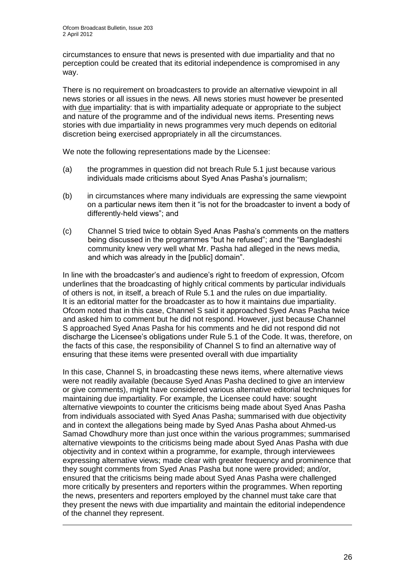1

circumstances to ensure that news is presented with due impartiality and that no perception could be created that its editorial independence is compromised in any way.

There is no requirement on broadcasters to provide an alternative viewpoint in all news stories or all issues in the news. All news stories must however be presented with due impartiality: that is with impartiality adequate or appropriate to the subject and nature of the programme and of the individual news items. Presenting news stories with due impartiality in news programmes very much depends on editorial discretion being exercised appropriately in all the circumstances.

We note the following representations made by the Licensee:

- (a) the programmes in question did not breach Rule 5.1 just because various individuals made criticisms about Syed Anas Pasha's journalism;
- (b) in circumstances where many individuals are expressing the same viewpoint on a particular news item then it "is not for the broadcaster to invent a body of differently-held views"; and
- (c) Channel S tried twice to obtain Syed Anas Pasha"s comments on the matters being discussed in the programmes "but he refused"; and the "Bangladeshi community knew very well what Mr. Pasha had alleged in the news media, and which was already in the [public] domain".

In line with the broadcaster"s and audience"s right to freedom of expression, Ofcom underlines that the broadcasting of highly critical comments by particular individuals of others is not, in itself, a breach of Rule 5.1 and the rules on due impartiality. It is an editorial matter for the broadcaster as to how it maintains due impartiality. Ofcom noted that in this case, Channel S said it approached Syed Anas Pasha twice and asked him to comment but he did not respond. However, just because Channel S approached Syed Anas Pasha for his comments and he did not respond did not discharge the Licensee"s obligations under Rule 5.1 of the Code. It was, therefore, on the facts of this case, the responsibility of Channel S to find an alternative way of ensuring that these items were presented overall with due impartiality

In this case, Channel S, in broadcasting these news items, where alternative views were not readily available (because Syed Anas Pasha declined to give an interview or give comments), might have considered various alternative editorial techniques for maintaining due impartiality. For example, the Licensee could have: sought alternative viewpoints to counter the criticisms being made about Syed Anas Pasha from individuals associated with Syed Anas Pasha; summarised with due objectivity and in context the allegations being made by Syed Anas Pasha about Ahmed-us Samad Chowdhury more than just once within the various programmes; summarised alternative viewpoints to the criticisms being made about Syed Anas Pasha with due objectivity and in context within a programme, for example, through interviewees expressing alternative views; made clear with greater frequency and prominence that they sought comments from Syed Anas Pasha but none were provided; and/or, ensured that the criticisms being made about Syed Anas Pasha were challenged more critically by presenters and reporters within the programmes. When reporting the news, presenters and reporters employed by the channel must take care that they present the news with due impartiality and maintain the editorial independence of the channel they represent.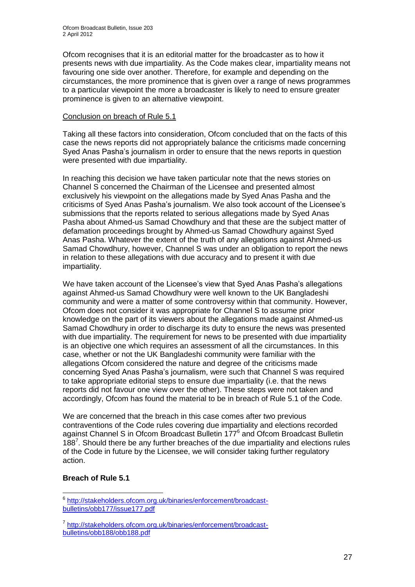Ofcom recognises that it is an editorial matter for the broadcaster as to how it presents news with due impartiality. As the Code makes clear, impartiality means not favouring one side over another. Therefore, for example and depending on the circumstances, the more prominence that is given over a range of news programmes to a particular viewpoint the more a broadcaster is likely to need to ensure greater prominence is given to an alternative viewpoint.

#### Conclusion on breach of Rule 5.1

Taking all these factors into consideration, Ofcom concluded that on the facts of this case the news reports did not appropriately balance the criticisms made concerning Syed Anas Pasha"s journalism in order to ensure that the news reports in question were presented with due impartiality.

In reaching this decision we have taken particular note that the news stories on Channel S concerned the Chairman of the Licensee and presented almost exclusively his viewpoint on the allegations made by Syed Anas Pasha and the criticisms of Syed Anas Pasha"s journalism. We also took account of the Licensee"s submissions that the reports related to serious allegations made by Syed Anas Pasha about Ahmed-us Samad Chowdhury and that these are the subject matter of defamation proceedings brought by Ahmed-us Samad Chowdhury against Syed Anas Pasha. Whatever the extent of the truth of any allegations against Ahmed-us Samad Chowdhury, however, Channel S was under an obligation to report the news in relation to these allegations with due accuracy and to present it with due impartiality.

We have taken account of the Licensee's view that Syed Anas Pasha's allegations against Ahmed-us Samad Chowdhury were well known to the UK Bangladeshi community and were a matter of some controversy within that community. However, Ofcom does not consider it was appropriate for Channel S to assume prior knowledge on the part of its viewers about the allegations made against Ahmed-us Samad Chowdhury in order to discharge its duty to ensure the news was presented with due impartiality. The requirement for news to be presented with due impartiality is an objective one which requires an assessment of all the circumstances. In this case, whether or not the UK Bangladeshi community were familiar with the allegations Ofcom considered the nature and degree of the criticisms made concerning Syed Anas Pasha"s journalism, were such that Channel S was required to take appropriate editorial steps to ensure due impartiality (i.e. that the news reports did not favour one view over the other). These steps were not taken and accordingly, Ofcom has found the material to be in breach of Rule 5.1 of the Code.

We are concerned that the breach in this case comes after two previous contraventions of the Code rules covering due impartiality and elections recorded against Channel S in Ofcom Broadcast Bulletin 177<sup>6</sup> and Ofcom Broadcast Bulletin 188<sup>7</sup>. Should there be any further breaches of the due impartiality and elections rules of the Code in future by the Licensee, we will consider taking further regulatory action.

#### **Breach of Rule 5.1**

1

<sup>6</sup> [http://stakeholders.ofcom.org.uk/binaries/enforcement/broadcast](http://stakeholders.ofcom.org.uk/binaries/enforcement/broadcast-bulletins/obb177/issue177.pdf)[bulletins/obb177/issue177.pdf](http://stakeholders.ofcom.org.uk/binaries/enforcement/broadcast-bulletins/obb177/issue177.pdf)

<sup>7</sup> [http://stakeholders.ofcom.org.uk/binaries/enforcement/broadcast](http://stakeholders.ofcom.org.uk/binaries/enforcement/broadcast-bulletins/obb188/obb188.pdf)[bulletins/obb188/obb188.pdf](http://stakeholders.ofcom.org.uk/binaries/enforcement/broadcast-bulletins/obb188/obb188.pdf)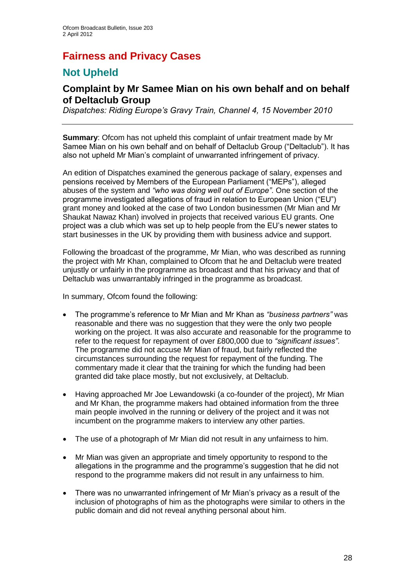# **Fairness and Privacy Cases**

## **Not Upheld**

## **Complaint by Mr Samee Mian on his own behalf and on behalf of Deltaclub Group**

*Dispatches: Riding Europe's Gravy Train, Channel 4, 15 November 2010*

**Summary**: Ofcom has not upheld this complaint of unfair treatment made by Mr Samee Mian on his own behalf and on behalf of Deltaclub Group ("Deltaclub"). It has also not upheld Mr Mian"s complaint of unwarranted infringement of privacy.

An edition of Dispatches examined the generous package of salary, expenses and pensions received by Members of the European Parliament ("MEPs"), alleged abuses of the system and *"who was doing well out of Europe"*. One section of the programme investigated allegations of fraud in relation to European Union ("EU") grant money and looked at the case of two London businessmen (Mr Mian and Mr Shaukat Nawaz Khan) involved in projects that received various EU grants. One project was a club which was set up to help people from the EU"s newer states to start businesses in the UK by providing them with business advice and support.

Following the broadcast of the programme, Mr Mian, who was described as running the project with Mr Khan, complained to Ofcom that he and Deltaclub were treated unjustly or unfairly in the programme as broadcast and that his privacy and that of Deltaclub was unwarrantably infringed in the programme as broadcast.

In summary, Ofcom found the following:

- The programme"s reference to Mr Mian and Mr Khan as *"business partners"* was reasonable and there was no suggestion that they were the only two people working on the project. It was also accurate and reasonable for the programme to refer to the request for repayment of over £800,000 due to *"significant issues"*. The programme did not accuse Mr Mian of fraud, but fairly reflected the circumstances surrounding the request for repayment of the funding. The commentary made it clear that the training for which the funding had been granted did take place mostly, but not exclusively, at Deltaclub.
- Having approached Mr Joe Lewandowski (a co-founder of the project), Mr Mian and Mr Khan, the programme makers had obtained information from the three main people involved in the running or delivery of the project and it was not incumbent on the programme makers to interview any other parties.
- The use of a photograph of Mr Mian did not result in any unfairness to him.
- Mr Mian was given an appropriate and timely opportunity to respond to the allegations in the programme and the programme's suggestion that he did not respond to the programme makers did not result in any unfairness to him.
- There was no unwarranted infringement of Mr Mian"s privacy as a result of the inclusion of photographs of him as the photographs were similar to others in the public domain and did not reveal anything personal about him.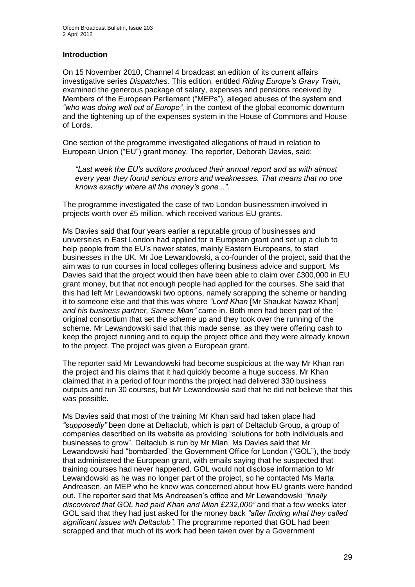#### **Introduction**

On 15 November 2010, Channel 4 broadcast an edition of its current affairs investigative series *Dispatches*. This edition, entitled *Riding Europe's Gravy Train*, examined the generous package of salary, expenses and pensions received by Members of the European Parliament ("MEPs"), alleged abuses of the system and *"who was doing well out of Europe"*, in the context of the global economic downturn and the tightening up of the expenses system in the House of Commons and House of Lords.

One section of the programme investigated allegations of fraud in relation to European Union ("EU") grant money. The reporter, Deborah Davies, said:

*"Last week the EU's auditors produced their annual report and as with almost every year they found serious errors and weaknesses. That means that no one knows exactly where all the money's gone..."*.

The programme investigated the case of two London businessmen involved in projects worth over £5 million, which received various EU grants.

Ms Davies said that four years earlier a reputable group of businesses and universities in East London had applied for a European grant and set up a club to help people from the EU's newer states, mainly Eastern Europeans, to start businesses in the UK. Mr Joe Lewandowski, a co-founder of the project, said that the aim was to run courses in local colleges offering business advice and support. Ms Davies said that the project would then have been able to claim over £300,000 in EU grant money, but that not enough people had applied for the courses. She said that this had left Mr Lewandowski two options, namely scrapping the scheme or handing it to someone else and that this was where *"Lord Khan* [Mr Shaukat Nawaz Khan] *and his business partner, Samee Mian"* came in. Both men had been part of the original consortium that set the scheme up and they took over the running of the scheme. Mr Lewandowski said that this made sense, as they were offering cash to keep the project running and to equip the project office and they were already known to the project. The project was given a European grant.

The reporter said Mr Lewandowski had become suspicious at the way Mr Khan ran the project and his claims that it had quickly become a huge success. Mr Khan claimed that in a period of four months the project had delivered 330 business outputs and run 30 courses, but Mr Lewandowski said that he did not believe that this was possible.

Ms Davies said that most of the training Mr Khan said had taken place had *"supposedly"* been done at Deltaclub, which is part of Deltaclub Group, a group of companies described on its website as providing "solutions for both individuals and businesses to grow". Deltaclub is run by Mr Mian. Ms Davies said that Mr Lewandowski had "bombarded" the Government Office for London ("GOL"), the body that administered the European grant, with emails saying that he suspected that training courses had never happened. GOL would not disclose information to Mr Lewandowski as he was no longer part of the project, so he contacted Ms Marta Andreasen, an MEP who he knew was concerned about how EU grants were handed out. The reporter said that Ms Andreasen"s office and Mr Lewandowski *"finally discovered that GOL had paid Khan and Mian £232,000"* and that a few weeks later GOL said that they had just asked for the money back *"after finding what they called significant issues with Deltaclub"*. The programme reported that GOL had been scrapped and that much of its work had been taken over by a Government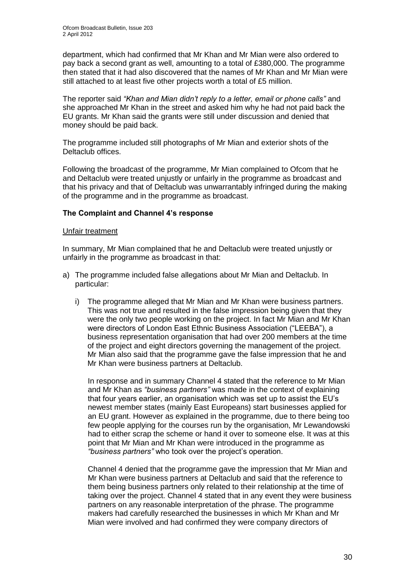department, which had confirmed that Mr Khan and Mr Mian were also ordered to pay back a second grant as well, amounting to a total of £380,000. The programme then stated that it had also discovered that the names of Mr Khan and Mr Mian were still attached to at least five other projects worth a total of £5 million.

The reporter said *"Khan and Mian didn't reply to a letter, email or phone calls"* and she approached Mr Khan in the street and asked him why he had not paid back the EU grants. Mr Khan said the grants were still under discussion and denied that money should be paid back.

The programme included still photographs of Mr Mian and exterior shots of the Deltaclub offices.

Following the broadcast of the programme, Mr Mian complained to Ofcom that he and Deltaclub were treated unjustly or unfairly in the programme as broadcast and that his privacy and that of Deltaclub was unwarrantably infringed during the making of the programme and in the programme as broadcast.

#### **The Complaint and Channel 4's response**

#### Unfair treatment

In summary, Mr Mian complained that he and Deltaclub were treated unjustly or unfairly in the programme as broadcast in that:

- a) The programme included false allegations about Mr Mian and Deltaclub. In particular:
	- i) The programme alleged that Mr Mian and Mr Khan were business partners. This was not true and resulted in the false impression being given that they were the only two people working on the project. In fact Mr Mian and Mr Khan were directors of London East Ethnic Business Association ("LEEBA"), a business representation organisation that had over 200 members at the time of the project and eight directors governing the management of the project. Mr Mian also said that the programme gave the false impression that he and Mr Khan were business partners at Deltaclub.

In response and in summary Channel 4 stated that the reference to Mr Mian and Mr Khan as *"business partners"* was made in the context of explaining that four years earlier, an organisation which was set up to assist the EU"s newest member states (mainly East Europeans) start businesses applied for an EU grant. However as explained in the programme, due to there being too few people applying for the courses run by the organisation, Mr Lewandowski had to either scrap the scheme or hand it over to someone else. It was at this point that Mr Mian and Mr Khan were introduced in the programme as *"business partners"* who took over the project"s operation.

Channel 4 denied that the programme gave the impression that Mr Mian and Mr Khan were business partners at Deltaclub and said that the reference to them being business partners only related to their relationship at the time of taking over the project. Channel 4 stated that in any event they were business partners on any reasonable interpretation of the phrase. The programme makers had carefully researched the businesses in which Mr Khan and Mr Mian were involved and had confirmed they were company directors of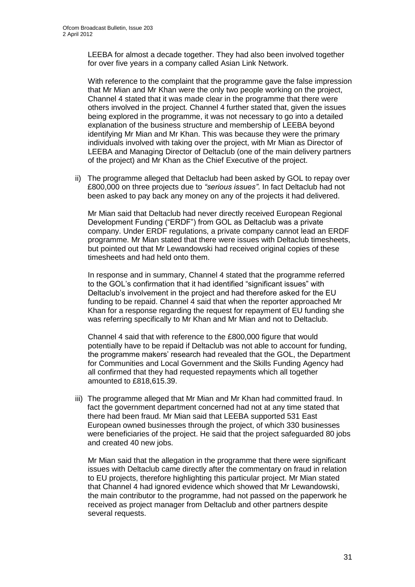LEEBA for almost a decade together. They had also been involved together for over five years in a company called Asian Link Network.

With reference to the complaint that the programme gave the false impression that Mr Mian and Mr Khan were the only two people working on the project, Channel 4 stated that it was made clear in the programme that there were others involved in the project. Channel 4 further stated that, given the issues being explored in the programme, it was not necessary to go into a detailed explanation of the business structure and membership of LEEBA beyond identifying Mr Mian and Mr Khan. This was because they were the primary individuals involved with taking over the project, with Mr Mian as Director of LEEBA and Managing Director of Deltaclub (one of the main delivery partners of the project) and Mr Khan as the Chief Executive of the project.

ii) The programme alleged that Deltaclub had been asked by GOL to repay over £800,000 on three projects due to *"serious issues"*. In fact Deltaclub had not been asked to pay back any money on any of the projects it had delivered.

Mr Mian said that Deltaclub had never directly received European Regional Development Funding ("ERDF") from GOL as Deltaclub was a private company. Under ERDF regulations, a private company cannot lead an ERDF programme. Mr Mian stated that there were issues with Deltaclub timesheets, but pointed out that Mr Lewandowski had received original copies of these timesheets and had held onto them.

In response and in summary, Channel 4 stated that the programme referred to the GOL"s confirmation that it had identified "significant issues" with Deltaclub"s involvement in the project and had therefore asked for the EU funding to be repaid. Channel 4 said that when the reporter approached Mr Khan for a response regarding the request for repayment of EU funding she was referring specifically to Mr Khan and Mr Mian and not to Deltaclub.

Channel 4 said that with reference to the £800,000 figure that would potentially have to be repaid if Deltaclub was not able to account for funding, the programme makers" research had revealed that the GOL, the Department for Communities and Local Government and the Skills Funding Agency had all confirmed that they had requested repayments which all together amounted to £818,615.39.

iii) The programme alleged that Mr Mian and Mr Khan had committed fraud. In fact the government department concerned had not at any time stated that there had been fraud. Mr Mian said that LEEBA supported 531 East European owned bu*s*inesses through the project, of which 330 businesses were beneficiaries of the project. He said that the project safeguarded 80 jobs and created 40 new jobs.

Mr Mian said that the allegation in the programme that there were significant issues with Deltaclub came directly after the commentary on fraud in relation to EU projects, therefore highlighting this particular project. Mr Mian stated that Channel 4 had ignored evidence which showed that Mr Lewandowski, the main contributor to the programme, had not passed on the paperwork he received as project manager from Deltaclub and other partners despite several requests.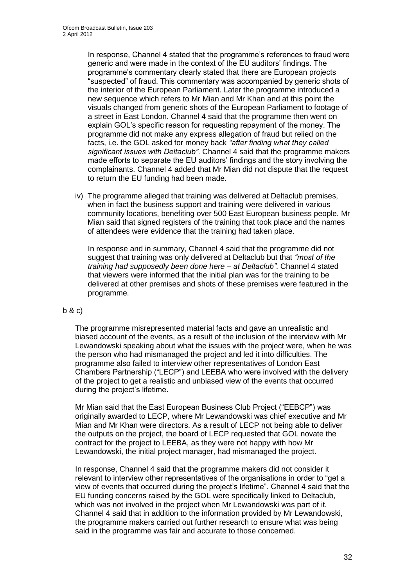In response, Channel 4 stated that the programme"s references to fraud were generic and were made in the context of the EU auditors" findings. The programme"s commentary clearly stated that there are European projects "suspected" of fraud. This commentary was accompanied by generic shots of the interior of the European Parliament. Later the programme introduced a new sequence which refers to Mr Mian and Mr Khan and at this point the visuals changed from generic shots of the European Parliament to footage of a street in East London. Channel 4 said that the programme then went on explain GOL"s specific reason for requesting repayment of the money. The programme did not make any express allegation of fraud but relied on the facts, i.e. the GOL asked for money back *"after finding what they called significant issues with Deltaclub"*. Channel 4 said that the programme makers made efforts to separate the EU auditors' findings and the story involving the complainants. Channel 4 added that Mr Mian did not dispute that the request to return the EU funding had been made.

iv) The programme alleged that training was delivered at Deltaclub premises, when in fact the business support and training were delivered in various community locations, benefiting over 500 East European business people. Mr Mian said that signed registers of the training that took place and the names of attendees were evidence that the training had taken place.

In response and in summary, Channel 4 said that the programme did not suggest that training was only delivered at Deltaclub but that *"most of the training had supposedly been done here – at Deltaclub"*. Channel 4 stated that viewers were informed that the initial plan was for the training to be delivered at other premises and shots of these premises were featured in the programme.

#### b & c)

The programme misrepresented material facts and gave an unrealistic and biased account of the events, as a result of the inclusion of the interview with Mr Lewandowski speaking about what the issues with the project were, when he was the person who had mismanaged the project and led it into difficulties. The programme also failed to interview other representatives of London East Chambers Partnership ("LECP") and LEEBA who were involved with the delivery of the project to get a realistic and unbiased view of the events that occurred during the project's lifetime.

Mr Mian said that the East European Business Club Project ("EEBCP") was originally awarded to LECP, where Mr Lewandowski was chief executive and Mr Mian and Mr Khan were directors. As a result of LECP not being able to deliver the outputs on the project, the board of LECP requested that GOL novate the contract for the project to LEEBA, as they were not happy with how Mr Lewandowski, the initial project manager, had mismanaged the project.

In response, Channel 4 said that the programme makers did not consider it relevant to interview other representatives of the organisations in order to "get a view of events that occurred during the project"s lifetime". Channel 4 said that the EU funding concerns raised by the GOL were specifically linked to Deltaclub, which was not involved in the project when Mr Lewandowski was part of it. Channel 4 said that in addition to the information provided by Mr Lewandowski, the programme makers carried out further research to ensure what was being said in the programme was fair and accurate to those concerned.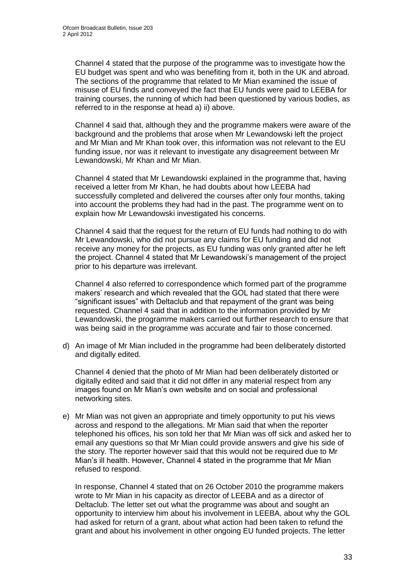Channel 4 stated that the purpose of the programme was to investigate how the EU budget was spent and who was benefiting from it, both in the UK and abroad. The sections of the programme that related to Mr Mian examined the issue of misuse of EU finds and conveyed the fact that EU funds were paid to LEEBA for training courses, the running of which had been questioned by various bodies, as referred to in the response at head a) ii) above.

Channel 4 said that, although they and the programme makers were aware of the background and the problems that arose when Mr Lewandowski left the project and Mr Mian and Mr Khan took over, this information was not relevant to the EU funding issue, nor was it relevant to investigate any disagreement between Mr Lewandowski, Mr Khan and Mr Mian.

Channel 4 stated that Mr Lewandowski explained in the programme that, having received a letter from Mr Khan, he had doubts about how LEEBA had successfully completed and delivered the courses after only four months, taking into account the problems they had had in the past. The programme went on to explain how Mr Lewandowski investigated his concerns.

Channel 4 said that the request for the return of EU funds had nothing to do with Mr Lewandowski, who did not pursue any claims for EU funding and did not receive any money for the projects, as EU funding was only granted after he left the project. Channel 4 stated that Mr Lewandowski"s management of the project prior to his departure was irrelevant.

Channel 4 also referred to correspondence which formed part of the programme makers" research and which revealed that the GOL had stated that there were "significant issues" with Deltaclub and that repayment of the grant was being requested. Channel 4 said that in addition to the information provided by Mr Lewandowski, the programme makers carried out further research to ensure that was being said in the programme was accurate and fair to those concerned.

d) An image of Mr Mian included in the programme had been deliberately distorted and digitally edited.

Channel 4 denied that the photo of Mr Mian had been deliberately distorted or digitally edited and said that it did not differ in any material respect from any images found on Mr Mian"s own website and on social and professional networking sites.

e) Mr Mian was not given an appropriate and timely opportunity to put his views across and respond to the allegations. Mr Mian said that when the reporter telephoned his offices, his son told her that Mr Mian was off sick and asked her to email any questions so that Mr Mian could provide answers and give his side of the story. The reporter however said that this would not be required due to Mr Mian"s ill health. However, Channel 4 stated in the programme that Mr Mian refused to respond.

In response, Channel 4 stated that on 26 October 2010 the programme makers wrote to Mr Mian in his capacity as director of LEEBA and as a director of Deltaclub. The letter set out what the programme was about and sought an opportunity to interview him about his involvement in LEEBA, about why the GOL had asked for return of a grant, about what action had been taken to refund the grant and about his involvement in other ongoing EU funded projects. The letter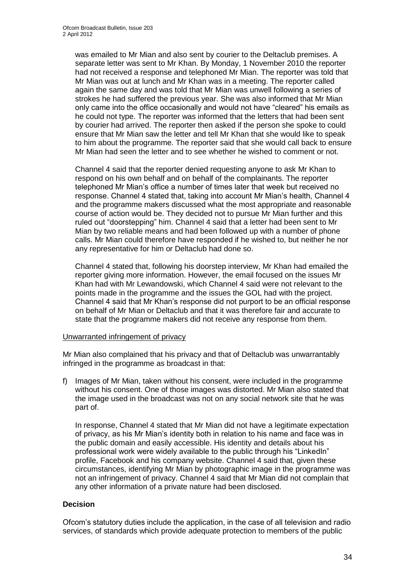was emailed to Mr Mian and also sent by courier to the Deltaclub premises. A separate letter was sent to Mr Khan. By Monday, 1 November 2010 the reporter had not received a response and telephoned Mr Mian. The reporter was told that Mr Mian was out at lunch and Mr Khan was in a meeting. The reporter called again the same day and was told that Mr Mian was unwell following a series of strokes he had suffered the previous year. She was also informed that Mr Mian only came into the office occasionally and would not have "cleared" his emails as he could not type. The reporter was informed that the letters that had been sent by courier had arrived. The reporter then asked if the person she spoke to could ensure that Mr Mian saw the letter and tell Mr Khan that she would like to speak to him about the programme. The reporter said that she would call back to ensure Mr Mian had seen the letter and to see whether he wished to comment or not.

Channel 4 said that the reporter denied requesting anyone to ask Mr Khan to respond on his own behalf and on behalf of the complainants. The reporter telephoned Mr Mian"s office a number of times later that week but received no response. Channel 4 stated that, taking into account Mr Mian"s health, Channel 4 and the programme makers discussed what the most appropriate and reasonable course of action would be. They decided not to pursue Mr Mian further and this ruled out "doorstepping" him. Channel 4 said that a letter had been sent to Mr Mian by two reliable means and had been followed up with a number of phone calls. Mr Mian could therefore have responded if he wished to, but neither he nor any representative for him or Deltaclub had done so.

Channel 4 stated that, following his doorstep interview, Mr Khan had emailed the reporter giving more information. However, the email focused on the issues Mr Khan had with Mr Lewandowski, which Channel 4 said were not relevant to the points made in the programme and the issues the GOL had with the project. Channel 4 said that Mr Khan"s response did not purport to be an official response on behalf of Mr Mian or Deltaclub and that it was therefore fair and accurate to state that the programme makers did not receive any response from them.

#### Unwarranted infringement of privacy

Mr Mian also complained that his privacy and that of Deltaclub was unwarrantably infringed in the programme as broadcast in that:

f) Images of Mr Mian, taken without his consent, were included in the programme without his consent. One of those images was distorted. Mr Mian also stated that the image used in the broadcast was not on any social network site that he was part of.

In response, Channel 4 stated that Mr Mian did not have a legitimate expectation of privacy, as his Mr Mian"s identity both in relation to his name and face was in the public domain and easily accessible. His identity and details about his professional work were widely available to the public through his "LinkedIn" profile, Facebook and his company website. Channel 4 said that, given these circumstances, identifying Mr Mian by photographic image in the programme was not an infringement of privacy. Channel 4 said that Mr Mian did not complain that any other information of a private nature had been disclosed.

#### **Decision**

Ofcom"s statutory duties include the application, in the case of all television and radio services, of standards which provide adequate protection to members of the public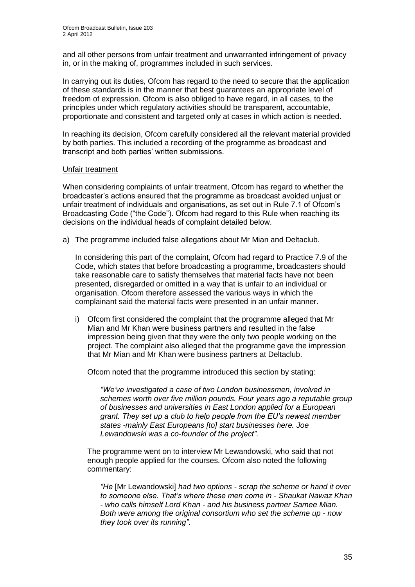and all other persons from unfair treatment and unwarranted infringement of privacy in, or in the making of, programmes included in such services.

In carrying out its duties, Ofcom has regard to the need to secure that the application of these standards is in the manner that best guarantees an appropriate level of freedom of expression. Ofcom is also obliged to have regard, in all cases, to the principles under which regulatory activities should be transparent, accountable, proportionate and consistent and targeted only at cases in which action is needed.

In reaching its decision, Ofcom carefully considered all the relevant material provided by both parties. This included a recording of the programme as broadcast and transcript and both parties" written submissions.

#### Unfair treatment

When considering complaints of unfair treatment, Ofcom has regard to whether the broadcaster"s actions ensured that the programme as broadcast avoided unjust or unfair treatment of individuals and organisations, as set out in Rule 7.1 of Ofcom"s Broadcasting Code ("the Code"). Ofcom had regard to this Rule when reaching its decisions on the individual heads of complaint detailed below.

a) The programme included false allegations about Mr Mian and Deltaclub.

In considering this part of the complaint, Ofcom had regard to Practice 7.9 of the Code, which states that before broadcasting a programme, broadcasters should take reasonable care to satisfy themselves that material facts have not been presented, disregarded or omitted in a way that is unfair to an individual or organisation. Ofcom therefore assessed the various ways in which the complainant said the material facts were presented in an unfair manner.

i) Ofcom first considered the complaint that the programme alleged that Mr Mian and Mr Khan were business partners and resulted in the false impression being given that they were the only two people working on the project. The complaint also alleged that the programme gave the impression that Mr Mian and Mr Khan were business partners at Deltaclub.

Ofcom noted that the programme introduced this section by stating:

*"We've investigated a case of two London businessmen, involved in schemes worth over five million pounds. Four years ago a reputable group of businesses and universities in East London applied for a European grant. They set up a club to help people from the EU's newest member states -mainly East Europeans [to] start businesses here. Joe Lewandowski was a co-founder of the project"*.

The programme went on to interview Mr Lewandowski, who said that not enough people applied for the courses. Ofcom also noted the following commentary:

*"He* [Mr Lewandowski] *had two options - scrap the scheme or hand it over to someone else. That's where these men come in - Shaukat Nawaz Khan - who calls himself Lord Khan - and his business partner Samee Mian. Both were among the original consortium who set the scheme up - now they took over its running"*.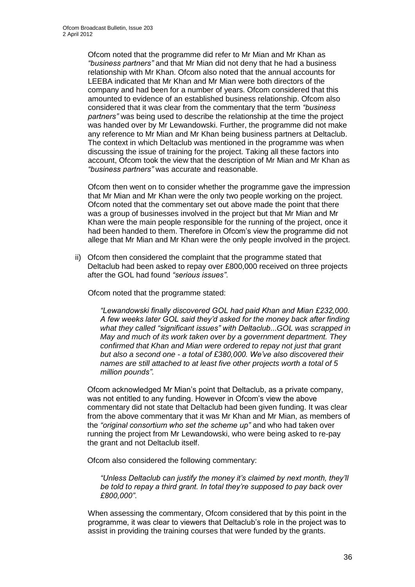Ofcom noted that the programme did refer to Mr Mian and Mr Khan as *"business partners"* and that Mr Mian did not deny that he had a business relationship with Mr Khan. Ofcom also noted that the annual accounts for LEEBA indicated that Mr Khan and Mr Mian were both directors of the company and had been for a number of years. Ofcom considered that this amounted to evidence of an established business relationship. Ofcom also considered that it was clear from the commentary that the term *"business partners"* was being used to describe the relationship at the time the project was handed over by Mr Lewandowski. Further, the programme did not make any reference to Mr Mian and Mr Khan being business partners at Deltaclub. The context in which Deltaclub was mentioned in the programme was when discussing the issue of training for the project. Taking all these factors into account, Ofcom took the view that the description of Mr Mian and Mr Khan as *"business partners"* was accurate and reasonable.

Ofcom then went on to consider whether the programme gave the impression that Mr Mian and Mr Khan were the only two people working on the project. Ofcom noted that the commentary set out above made the point that there was a group of businesses involved in the project but that Mr Mian and Mr Khan were the main people responsible for the running of the project, once it had been handed to them. Therefore in Ofcom"s view the programme did not allege that Mr Mian and Mr Khan were the only people involved in the project.

ii) Ofcom then considered the complaint that the programme stated that Deltaclub had been asked to repay over £800,000 received on three projects after the GOL had found *"serious issues"*.

Ofcom noted that the programme stated:

*"Lewandowski finally discovered GOL had paid Khan and Mian £232,000. A few weeks later GOL said they'd asked for the money back after finding what they called "significant issues" with Deltaclub*...*GOL was scrapped in May and much of its work taken over by a government department. They confirmed that Khan and Mian were ordered to repay not just that grant but also a second one - a total of £380,000. We've also discovered their names are still attached to at least five other projects worth a total of 5 million pounds"*.

Ofcom acknowledged Mr Mian"s point that Deltaclub, as a private company, was not entitled to any funding. However in Ofcom's view the above commentary did not state that Deltaclub had been given funding. It was clear from the above commentary that it was Mr Khan and Mr Mian, as members of the *"original consortium who set the scheme up"* and who had taken over running the project from Mr Lewandowski, who were being asked to re-pay the grant and not Deltaclub itself.

Ofcom also considered the following commentary:

*"Unless Deltaclub can justify the money it's claimed by next month, they'll be told to repay a third grant. In total they're supposed to pay back over £800,000"*.

When assessing the commentary, Ofcom considered that by this point in the programme, it was clear to viewers that Deltaclub"s role in the project was to assist in providing the training courses that were funded by the grants.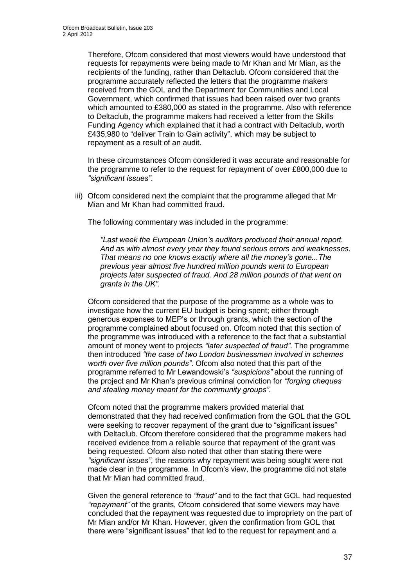Therefore, Ofcom considered that most viewers would have understood that requests for repayments were being made to Mr Khan and Mr Mian, as the recipients of the funding, rather than Deltaclub. Ofcom considered that the programme accurately reflected the letters that the programme makers received from the GOL and the Department for Communities and Local Government, which confirmed that issues had been raised over two grants which amounted to £380,000 as stated in the programme. Also with reference to Deltaclub, the programme makers had received a letter from the Skills Funding Agency which explained that it had a contract with Deltaclub, worth £435,980 to "deliver Train to Gain activity", which may be subject to repayment as a result of an audit.

In these circumstances Ofcom considered it was accurate and reasonable for the programme to refer to the request for repayment of over £800,000 due to *"significant issues"*.

iii) Ofcom considered next the complaint that the programme alleged that Mr Mian and Mr Khan had committed fraud.

The following commentary was included in the programme:

*"Last week the European Union's auditors produced their annual report. And as with almost every year they found serious errors and weaknesses. That means no one knows exactly where all the money's gone...The previous year almost five hundred million pounds went to European projects later suspected of fraud. And 28 million pounds of that went on grants in the UK"*.

Ofcom considered that the purpose of the programme as a whole was to investigate how the current EU budget is being spent; either through generous expenses to MEP"s or through grants, which the section of the programme complained about focused on. Ofcom noted that this section of the programme was introduced with a reference to the fact that a substantial amount of money went to projects *"later suspected of fraud"*. The programme then introduced *"the case of two London businessmen involved in schemes worth over five million pounds"*. Ofcom also noted that this part of the programme referred to Mr Lewandowski"s *"suspicions"* about the running of the project and Mr Khan"s previous criminal conviction for *"forging cheques and stealing money meant for the community groups"*.

Ofcom noted that the programme makers provided material that demonstrated that they had received confirmation from the GOL that the GOL were seeking to recover repayment of the grant due to "significant issues" with Deltaclub. Ofcom therefore considered that the programme makers had received evidence from a reliable source that repayment of the grant was being requested. Ofcom also noted that other than stating there were *"significant issues"*, the reasons why repayment was being sought were not made clear in the programme. In Ofcom"s view, the programme did not state that Mr Mian had committed fraud.

Given the general reference to *"fraud"* and to the fact that GOL had requested *"repayment"* of the grants, Ofcom considered that some viewers may have concluded that the repayment was requested due to impropriety on the part of Mr Mian and/or Mr Khan. However, given the confirmation from GOL that there were "significant issues" that led to the request for repayment and a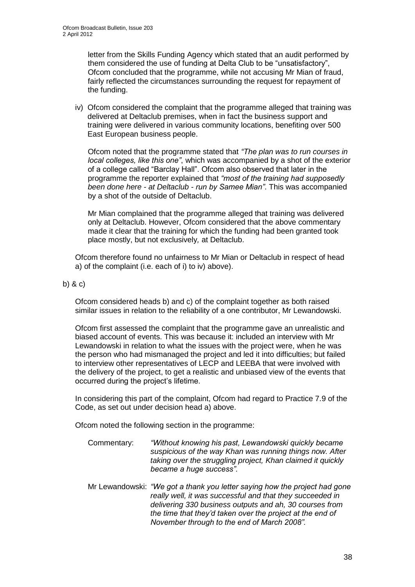letter from the Skills Funding Agency which stated that an audit performed by them considered the use of funding at Delta Club to be "unsatisfactory", Ofcom concluded that the programme, while not accusing Mr Mian of fraud, fairly reflected the circumstances surrounding the request for repayment of the funding.

iv) Ofcom considered the complaint that the programme alleged that training was delivered at Deltaclub premises, when in fact the business support and training were delivered in various community locations, benefiting over 500 East European business people.

Ofcom noted that the programme stated that *"The plan was to run courses in local colleges, like this one"*, which was accompanied by a shot of the exterior of a college called "Barclay Hall". Ofcom also observed that later in the programme the reporter explained that *"most of the training had supposedly been done here - at Deltaclub - run by Samee Mian"*. This was accompanied by a shot of the outside of Deltaclub.

Mr Mian complained that the programme alleged that training was delivered only at Deltaclub. However, Ofcom considered that the above commentary made it clear that the training for which the funding had been granted took place mostly, but not exclusively*,* at Deltaclub.

Ofcom therefore found no unfairness to Mr Mian or Deltaclub in respect of head a) of the complaint (i.e. each of i) to iv) above).

#### b) & c)

Ofcom considered heads b) and c) of the complaint together as both raised similar issues in relation to the reliability of a one contributor, Mr Lewandowski.

Ofcom first assessed the complaint that the programme gave an unrealistic and biased account of events. This was because it: included an interview with Mr Lewandowski in relation to what the issues with the project were, when he was the person who had mismanaged the project and led it into difficulties; but failed to interview other representatives of LECP and LEEBA that were involved with the delivery of the project, to get a realistic and unbiased view of the events that occurred during the project"s lifetime.

In considering this part of the complaint, Ofcom had regard to Practice 7.9 of the Code, as set out under decision head a) above.

Ofcom noted the following section in the programme:

- Commentary: *"Without knowing his past, Lewandowski quickly became suspicious of the way Khan was running things now. After taking over the struggling project, Khan claimed it quickly became a huge success".*
- Mr Lewandowski: *"We got a thank you letter saying how the project had gone really well, it was successful and that they succeeded in delivering 330 business outputs and ah, 30 courses from the time that they'd taken over the project at the end of November through to the end of March 2008".*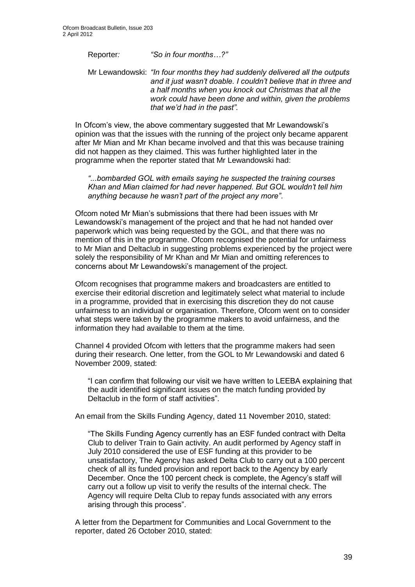Reporter*: "So in four months…?"*

Mr Lewandowski: *"In four months they had suddenly delivered all the outputs and it just wasn't doable. I couldn't believe that in three and a half months when you knock out Christmas that all the work could have been done and within, given the problems that we'd had in the past".*

In Ofcom's view, the above commentary suggested that Mr Lewandowski's opinion was that the issues with the running of the project only became apparent after Mr Mian and Mr Khan became involved and that this was because training did not happen as they claimed. This was further highlighted later in the programme when the reporter stated that Mr Lewandowski had:

*"...bombarded GOL with emails saying he suspected the training courses Khan and Mian claimed for had never happened. But GOL wouldn't tell him anything because he wasn't part of the project any more"*.

Ofcom noted Mr Mian"s submissions that there had been issues with Mr Lewandowski"s management of the project and that he had not handed over paperwork which was being requested by the GOL, and that there was no mention of this in the programme. Ofcom recognised the potential for unfairness to Mr Mian and Deltaclub in suggesting problems experienced by the project were solely the responsibility of Mr Khan and Mr Mian and omitting references to concerns about Mr Lewandowski"s management of the project.

Ofcom recognises that programme makers and broadcasters are entitled to exercise their editorial discretion and legitimately select what material to include in a programme, provided that in exercising this discretion they do not cause unfairness to an individual or organisation. Therefore, Ofcom went on to consider what steps were taken by the programme makers to avoid unfairness, and the information they had available to them at the time.

Channel 4 provided Ofcom with letters that the programme makers had seen during their research. One letter, from the GOL to Mr Lewandowski and dated 6 November 2009, stated:

"I can confirm that following our visit we have written to LEEBA explaining that the audit identified significant issues on the match funding provided by Deltaclub in the form of staff activities".

An email from the Skills Funding Agency, dated 11 November 2010, stated:

"The Skills Funding Agency currently has an ESF funded contract with Delta Club to deliver Train to Gain activity. An audit performed by Agency staff in July 2010 considered the use of ESF funding at this provider to be unsatisfactory, The Agency has asked Delta Club to carry out a 100 percent check of all its funded provision and report back to the Agency by early December. Once the 100 percent check is complete, the Agency's staff will carry out a follow up visit to verify the results of the internal check. The Agency will require Delta Club to repay funds associated with any errors arising through this process".

A letter from the Department for Communities and Local Government to the reporter, dated 26 October 2010, stated: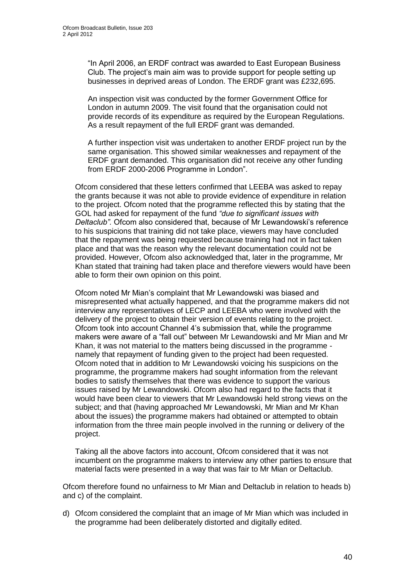"In April 2006, an ERDF contract was awarded to East European Business Club. The project"s main aim was to provide support for people setting up businesses in deprived areas of London. The ERDF grant was £232,695.

An inspection visit was conducted by the former Government Office for London in autumn 2009. The visit found that the organisation could not provide records of its expenditure as required by the European Regulations. As a result repayment of the full ERDF grant was demanded.

A further inspection visit was undertaken to another ERDF project run by the same organisation. This showed similar weaknesses and repayment of the ERDF grant demanded. This organisation did not receive any other funding from ERDF 2000-2006 Programme in London".

Ofcom considered that these letters confirmed that LEEBA was asked to repay the grants because it was not able to provide evidence of expenditure in relation to the project. Ofcom noted that the programme reflected this by stating that the GOL had asked for repayment of the fund *"due to significant issues with Deltaclub".* Ofcom also considered that, because of Mr Lewandowski"s reference to his suspicions that training did not take place, viewers may have concluded that the repayment was being requested because training had not in fact taken place and that was the reason why the relevant documentation could not be provided. However, Ofcom also acknowledged that, later in the programme, Mr Khan stated that training had taken place and therefore viewers would have been able to form their own opinion on this point.

Ofcom noted Mr Mian"s complaint that Mr Lewandowski was biased and misrepresented what actually happened, and that the programme makers did not interview any representatives of LECP and LEEBA who were involved with the delivery of the project to obtain their version of events relating to the project. Ofcom took into account Channel 4"s submission that, while the programme makers were aware of a "fall out" between Mr Lewandowski and Mr Mian and Mr Khan, it was not material to the matters being discussed in the programme namely that repayment of funding given to the project had been requested. Ofcom noted that in addition to Mr Lewandowski voicing his suspicions on the programme, the programme makers had sought information from the relevant bodies to satisfy themselves that there was evidence to support the various issues raised by Mr Lewandowski. Ofcom also had regard to the facts that it would have been clear to viewers that Mr Lewandowski held strong views on the subject; and that (having approached Mr Lewandowski, Mr Mian and Mr Khan about the issues) the programme makers had obtained or attempted to obtain information from the three main people involved in the running or delivery of the project.

Taking all the above factors into account, Ofcom considered that it was not incumbent on the programme makers to interview any other parties to ensure that material facts were presented in a way that was fair to Mr Mian or Deltaclub.

Ofcom therefore found no unfairness to Mr Mian and Deltaclub in relation to heads b) and c) of the complaint.

d) Ofcom considered the complaint that an image of Mr Mian which was included in the programme had been deliberately distorted and digitally edited.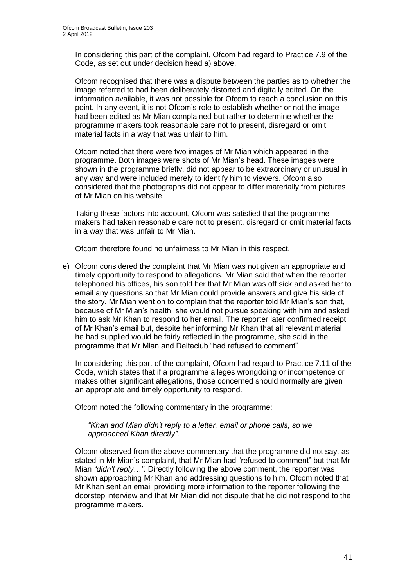In considering this part of the complaint, Ofcom had regard to Practice 7.9 of the Code, as set out under decision head a) above.

Ofcom recognised that there was a dispute between the parties as to whether the image referred to had been deliberately distorted and digitally edited. On the information available, it was not possible for Ofcom to reach a conclusion on this point. In any event, it is not Ofcom"s role to establish whether or not the image had been edited as Mr Mian complained but rather to determine whether the programme makers took reasonable care not to present, disregard or omit material facts in a way that was unfair to him.

Ofcom noted that there were two images of Mr Mian which appeared in the programme. Both images were shots of Mr Mian"s head. These images were shown in the programme briefly, did not appear to be extraordinary or unusual in any way and were included merely to identify him to viewers. Ofcom also considered that the photographs did not appear to differ materially from pictures of Mr Mian on his website.

Taking these factors into account, Ofcom was satisfied that the programme makers had taken reasonable care not to present, disregard or omit material facts in a way that was unfair to Mr Mian.

Ofcom therefore found no unfairness to Mr Mian in this respect.

e) Ofcom considered the complaint that Mr Mian was not given an appropriate and timely opportunity to respond to allegations. Mr Mian said that when the reporter telephoned his offices, his son told her that Mr Mian was off sick and asked her to email any questions so that Mr Mian could provide answers and give his side of the story. Mr Mian went on to complain that the reporter told Mr Mian"s son that, because of Mr Mian"s health, she would not pursue speaking with him and asked him to ask Mr Khan to respond to her email. The reporter later confirmed receipt of Mr Khan"s email but, despite her informing Mr Khan that all relevant material he had supplied would be fairly reflected in the programme, she said in the programme that Mr Mian and Deltaclub "had refused to comment".

In considering this part of the complaint, Ofcom had regard to Practice 7.11 of the Code, which states that if a programme alleges wrongdoing or incompetence or makes other significant allegations, those concerned should normally are given an appropriate and timely opportunity to respond.

Ofcom noted the following commentary in the programme:

*"Khan and Mian didn't reply to a letter, email or phone calls, so we approached Khan directly"*.

Ofcom observed from the above commentary that the programme did not say, as stated in Mr Mian"s complaint, that Mr Mian had "refused to comment" but that Mr Mian *"didn't reply*…*"*. Directly following the above comment, the reporter was shown approaching Mr Khan and addressing questions to him. Ofcom noted that Mr Khan sent an email providing more information to the reporter following the doorstep interview and that Mr Mian did not dispute that he did not respond to the programme makers.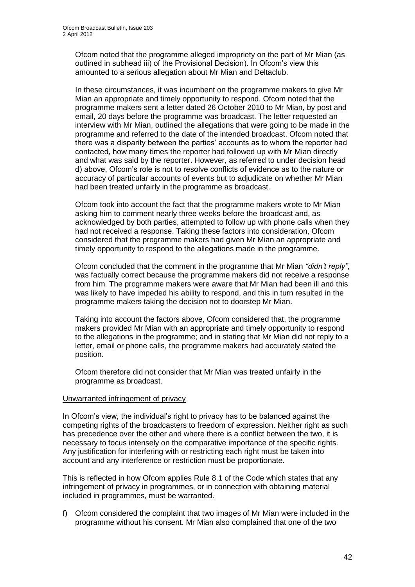Ofcom noted that the programme alleged impropriety on the part of Mr Mian (as outlined in subhead iii) of the Provisional Decision). In Ofcom"s view this amounted to a serious allegation about Mr Mian and Deltaclub.

In these circumstances, it was incumbent on the programme makers to give Mr Mian an appropriate and timely opportunity to respond. Ofcom noted that the programme makers sent a letter dated 26 October 2010 to Mr Mian, by post and email, 20 days before the programme was broadcast. The letter requested an interview with Mr Mian, outlined the allegations that were going to be made in the programme and referred to the date of the intended broadcast. Ofcom noted that there was a disparity between the parties" accounts as to whom the reporter had contacted, how many times the reporter had followed up with Mr Mian directly and what was said by the reporter. However, as referred to under decision head d) above, Ofcom"s role is not to resolve conflicts of evidence as to the nature or accuracy of particular accounts of events but to adjudicate on whether Mr Mian had been treated unfairly in the programme as broadcast.

Ofcom took into account the fact that the programme makers wrote to Mr Mian asking him to comment nearly three weeks before the broadcast and, as acknowledged by both parties, attempted to follow up with phone calls when they had not received a response. Taking these factors into consideration, Ofcom considered that the programme makers had given Mr Mian an appropriate and timely opportunity to respond to the allegations made in the programme.

Ofcom concluded that the comment in the programme that Mr Mian *"didn't reply"*, was factually correct because the programme makers did not receive a response from him. The programme makers were aware that Mr Mian had been ill and this was likely to have impeded his ability to respond, and this in turn resulted in the programme makers taking the decision not to doorstep Mr Mian.

Taking into account the factors above, Ofcom considered that, the programme makers provided Mr Mian with an appropriate and timely opportunity to respond to the allegations in the programme; and in stating that Mr Mian did not reply to a letter, email or phone calls, the programme makers had accurately stated the position.

Ofcom therefore did not consider that Mr Mian was treated unfairly in the programme as broadcast.

#### Unwarranted infringement of privacy

In Ofcom"s view, the individual"s right to privacy has to be balanced against the competing rights of the broadcasters to freedom of expression. Neither right as such has precedence over the other and where there is a conflict between the two, it is necessary to focus intensely on the comparative importance of the specific rights. Any justification for interfering with or restricting each right must be taken into account and any interference or restriction must be proportionate.

This is reflected in how Ofcom applies Rule 8.1 of the Code which states that any infringement of privacy in programmes, or in connection with obtaining material included in programmes, must be warranted.

f) Ofcom considered the complaint that two images of Mr Mian were included in the programme without his consent. Mr Mian also complained that one of the two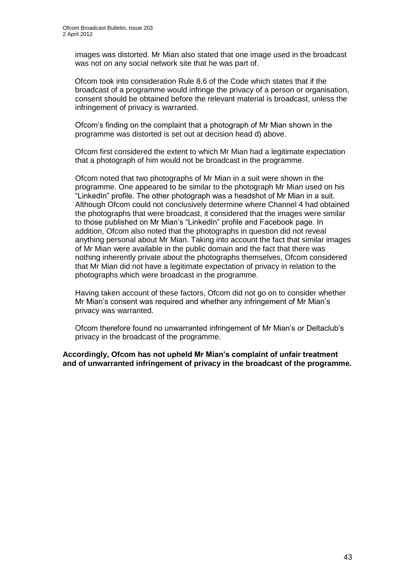images was distorted. Mr Mian also stated that one image used in the broadcast was not on any social network site that he was part of.

Ofcom took into consideration Rule 8.6 of the Code which states that if the broadcast of a programme would infringe the privacy of a person or organisation, consent should be obtained before the relevant material is broadcast, unless the infringement of privacy is warranted.

Ofcom"s finding on the complaint that a photograph of Mr Mian shown in the programme was distorted is set out at decision head d) above.

Ofcom first considered the extent to which Mr Mian had a legitimate expectation that a photograph of him would not be broadcast in the programme.

Ofcom noted that two photographs of Mr Mian in a suit were shown in the programme. One appeared to be similar to the photograph Mr Mian used on his "LinkedIn" profile. The other photograph was a headshot of Mr Mian in a suit. Although Ofcom could not conclusively determine where Channel 4 had obtained the photographs that were broadcast, it considered that the images were similar to those published on Mr Mian"s "LinkedIn" profile and Facebook page. In addition, Ofcom also noted that the photographs in question did not reveal anything personal about Mr Mian. Taking into account the fact that similar images of Mr Mian were available in the public domain and the fact that there was nothing inherently private about the photographs themselves, Ofcom considered that Mr Mian did not have a legitimate expectation of privacy in relation to the photographs which were broadcast in the programme.

Having taken account of these factors, Ofcom did not go on to consider whether Mr Mian"s consent was required and whether any infringement of Mr Mian"s privacy was warranted.

Ofcom therefore found no unwarranted infringement of Mr Mian"s or Deltaclub"s privacy in the broadcast of the programme.

**Accordingly, Ofcom has not upheld Mr Mian's complaint of unfair treatment and of unwarranted infringement of privacy in the broadcast of the programme.**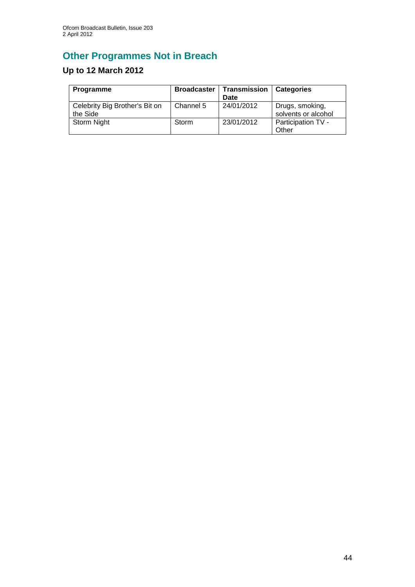# **Other Programmes Not in Breach**

# **Up to 12 March 2012**

| <b>Programme</b>                           | <b>Broadcaster</b> | Transmission<br>Date | <b>Categories</b>                      |
|--------------------------------------------|--------------------|----------------------|----------------------------------------|
| Celebrity Big Brother's Bit on<br>the Side | Channel 5          | 24/01/2012           | Drugs, smoking,<br>solvents or alcohol |
| Storm Night                                | Storm              | 23/01/2012           | Participation TV -<br>Other            |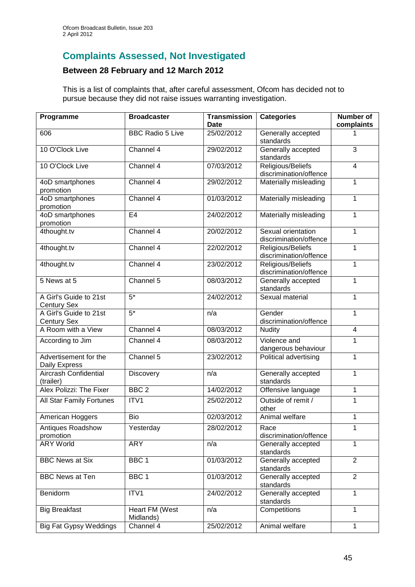## **Complaints Assessed, Not Investigated**

### **Between 28 February and 12 March 2012**

This is a list of complaints that, after careful assessment, Ofcom has decided not to pursue because they did not raise issues warranting investigation.

| Programme                                    | <b>Broadcaster</b>          | <b>Transmission</b><br>Date | <b>Categories</b>                           | Number of<br>complaints |
|----------------------------------------------|-----------------------------|-----------------------------|---------------------------------------------|-------------------------|
|                                              | <b>BBC Radio 5 Live</b>     |                             |                                             |                         |
| 606                                          |                             | 25/02/2012                  | Generally accepted<br>standards             |                         |
| 10 O'Clock Live                              | Channel 4                   | 29/02/2012                  | Generally accepted<br>standards             | $\overline{3}$          |
| 10 O'Clock Live                              | Channel 4                   | 07/03/2012                  | Religious/Beliefs                           | $\overline{4}$          |
|                                              |                             |                             | discrimination/offence                      |                         |
| 4oD smartphones<br>promotion                 | Channel 4                   | 29/02/2012                  | Materially misleading                       | $\mathbf{1}$            |
| 4oD smartphones<br>promotion                 | Channel 4                   | 01/03/2012                  | Materially misleading                       | $\mathbf{1}$            |
| 4oD smartphones<br>promotion                 | E4                          | 24/02/2012                  | Materially misleading                       | $\mathbf{1}$            |
| 4thought.tv                                  | Channel 4                   | 20/02/2012                  | Sexual orientation                          | $\mathbf{1}$            |
|                                              |                             |                             | discrimination/offence                      |                         |
| 4thought.tv                                  | Channel 4                   | 22/02/2012                  | Religious/Beliefs                           | 1                       |
|                                              |                             |                             | discrimination/offence                      |                         |
| 4thought.tv                                  | Channel 4                   | 23/02/2012                  | Religious/Beliefs<br>discrimination/offence | $\mathbf{1}$            |
| 5 News at 5                                  | Channel 5                   | 08/03/2012                  | Generally accepted                          | 1                       |
|                                              |                             |                             | standards                                   |                         |
| A Girl's Guide to 21st<br><b>Century Sex</b> | $5*$                        | 24/02/2012                  | Sexual material                             | 1                       |
| A Girl's Guide to 21st                       | $5*$                        | n/a                         | Gender                                      | 1                       |
| <b>Century Sex</b>                           |                             |                             | discrimination/offence                      |                         |
| A Room with a View                           | Channel 4                   | 08/03/2012                  | <b>Nudity</b>                               | $\overline{4}$          |
| According to Jim                             | Channel 4                   | 08/03/2012                  | Violence and<br>dangerous behaviour         | 1                       |
| Advertisement for the<br>Daily Express       | Channel 5                   | 23/02/2012                  | Political advertising                       | 1                       |
| Aircrash Confidential<br>(trailer)           | Discovery                   | n/a                         | Generally accepted<br>standards             | 1                       |
| Alex Polizzi: The Fixer                      | BBC <sub>2</sub>            | 14/02/2012                  | Offensive language                          | 1                       |
| All Star Family Fortunes                     | ITV1                        | 25/02/2012                  | Outside of remit /<br>other                 | 1                       |
| American Hoggers                             | Bio                         | 02/03/2012                  | Animal welfare                              | 1                       |
| Antiques Roadshow<br>promotion               | Yesterday                   | 28/02/2012                  | Race<br>discrimination/offence              | 1                       |
| <b>ARY World</b>                             | <b>ARY</b>                  | n/a                         | Generally accepted<br>standards             | $\mathbf{1}$            |
| <b>BBC News at Six</b>                       | BBC <sub>1</sub>            | 01/03/2012                  | Generally accepted<br>standards             | $\overline{2}$          |
| <b>BBC News at Ten</b>                       | BBC <sub>1</sub>            | 01/03/2012                  | Generally accepted<br>standards             | $\overline{2}$          |
| Benidorm                                     | $\overline{IT}VI$           | 24/02/2012                  | Generally accepted<br>standards             | $\mathbf{1}$            |
| <b>Big Breakfast</b>                         | Heart FM (West<br>Midlands) | n/a                         | Competitions                                | 1                       |
| <b>Big Fat Gypsy Weddings</b>                | Channel 4                   | 25/02/2012                  | Animal welfare                              | $\mathbf{1}$            |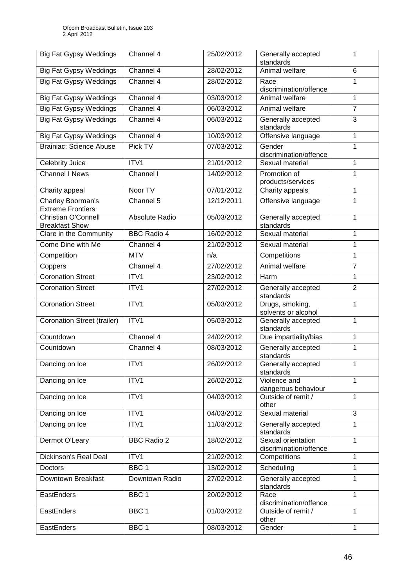| <b>Big Fat Gypsy Weddings</b>                       | Channel 4          | 25/02/2012 | Generally accepted<br>standards              | 1              |
|-----------------------------------------------------|--------------------|------------|----------------------------------------------|----------------|
| <b>Big Fat Gypsy Weddings</b>                       | Channel 4          | 28/02/2012 | Animal welfare                               | 6              |
| <b>Big Fat Gypsy Weddings</b>                       | Channel 4          | 28/02/2012 | Race<br>discrimination/offence               | 1              |
| <b>Big Fat Gypsy Weddings</b>                       | Channel 4          | 03/03/2012 | Animal welfare                               | 1              |
| <b>Big Fat Gypsy Weddings</b>                       | Channel 4          | 06/03/2012 | Animal welfare                               | $\overline{7}$ |
| <b>Big Fat Gypsy Weddings</b>                       | Channel 4          | 06/03/2012 | Generally accepted<br>standards              | 3              |
| <b>Big Fat Gypsy Weddings</b>                       | Channel 4          | 10/03/2012 | Offensive language                           | 1              |
| <b>Brainiac: Science Abuse</b>                      | Pick TV            | 07/03/2012 | Gender<br>discrimination/offence             | 1              |
| <b>Celebrity Juice</b>                              | ITV1               | 21/01/2012 | Sexual material                              | 1              |
| <b>Channel I News</b>                               | Channel I          | 14/02/2012 | Promotion of<br>products/services            | 1              |
| Charity appeal                                      | Noor TV            | 07/01/2012 | Charity appeals                              | 1              |
| Charley Boorman's<br><b>Extreme Frontiers</b>       | Channel 5          | 12/12/2011 | Offensive language                           | 1              |
| <b>Christian O'Connell</b><br><b>Breakfast Show</b> | Absolute Radio     | 05/03/2012 | Generally accepted<br>standards              | 1              |
| Clare in the Community                              | <b>BBC Radio 4</b> | 16/02/2012 | Sexual material                              | 1              |
| Come Dine with Me                                   | Channel 4          | 21/02/2012 | Sexual material                              | 1              |
| Competition                                         | <b>MTV</b>         | n/a        | Competitions                                 | 1              |
| Coppers                                             | Channel 4          | 27/02/2012 | Animal welfare                               | $\overline{7}$ |
| <b>Coronation Street</b>                            | ITV1               | 23/02/2012 | Harm                                         | 1              |
| <b>Coronation Street</b>                            | ITV1               | 27/02/2012 | Generally accepted<br>standards              | $\overline{2}$ |
| <b>Coronation Street</b>                            | ITV1               | 05/03/2012 | Drugs, smoking,<br>solvents or alcohol       | 1              |
| <b>Coronation Street (trailer)</b>                  | ITV1               | 05/03/2012 | Generally accepted<br>standards              | $\mathbf{1}$   |
| Countdown                                           | Channel 4          | 24/02/2012 | Due impartiality/bias                        | 1              |
| Countdown                                           | Channel 4          | 08/03/2012 | Generally accepted<br>standards              | $\mathbf{1}$   |
| Dancing on Ice                                      | ITV1               | 26/02/2012 | Generally accepted<br>standards              | 1              |
| Dancing on Ice                                      | ITV1               | 26/02/2012 | Violence and<br>dangerous behaviour          | 1              |
| Dancing on Ice                                      | ITV1               | 04/03/2012 | Outside of remit /<br>other                  | 1              |
| Dancing on Ice                                      | ITV1               | 04/03/2012 | Sexual material                              | $\mathfrak{B}$ |
| Dancing on Ice                                      | ITV1               | 11/03/2012 | Generally accepted<br>standards              | 1              |
| Dermot O'Leary                                      | <b>BBC Radio 2</b> | 18/02/2012 | Sexual orientation<br>discrimination/offence | 1              |
| Dickinson's Real Deal                               | ITV1               | 21/02/2012 | Competitions                                 | 1              |
| <b>Doctors</b>                                      | BBC 1              | 13/02/2012 | Scheduling                                   | 1              |
| Downtown Breakfast                                  | Downtown Radio     | 27/02/2012 | Generally accepted<br>standards              | $\mathbf{1}$   |
| EastEnders                                          | BBC 1              | 20/02/2012 | Race<br>discrimination/offence               | $\mathbf{1}$   |
| EastEnders                                          | BBC 1              | 01/03/2012 | Outside of remit /<br>other                  | 1              |
| EastEnders                                          | BBC <sub>1</sub>   | 08/03/2012 | Gender                                       | $\mathbf{1}$   |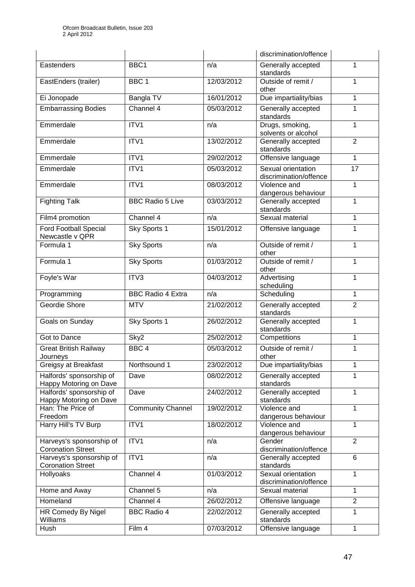|                                                      |                          |            | discrimination/offence                       |                 |
|------------------------------------------------------|--------------------------|------------|----------------------------------------------|-----------------|
| Eastenders                                           | BBC1                     | n/a        | Generally accepted<br>standards              | 1               |
| EastEnders (trailer)                                 | BBC <sub>1</sub>         | 12/03/2012 | Outside of remit /<br>other                  | 1               |
| Ei Jonopade                                          | Bangla TV                | 16/01/2012 | Due impartiality/bias                        | 1               |
| <b>Embarrassing Bodies</b>                           | Channel 4                | 05/03/2012 | Generally accepted<br>standards              | 1               |
| Emmerdale                                            | ITV1                     | n/a        | Drugs, smoking,<br>solvents or alcohol       | 1               |
| Emmerdale                                            | ITV1                     | 13/02/2012 | Generally accepted<br>standards              | $\overline{2}$  |
| Emmerdale                                            | ITV1                     | 29/02/2012 | Offensive language                           | $\mathbf{1}$    |
| Emmerdale                                            | ITV1                     | 05/03/2012 | Sexual orientation<br>discrimination/offence | $\overline{17}$ |
| Emmerdale                                            | ITV1                     | 08/03/2012 | Violence and<br>dangerous behaviour          | 1               |
| <b>Fighting Talk</b>                                 | <b>BBC Radio 5 Live</b>  | 03/03/2012 | Generally accepted<br>standards              | 1               |
| Film4 promotion                                      | Channel 4                | n/a        | Sexual material                              | 1               |
| <b>Ford Football Special</b><br>Newcastle v QPR      | Sky Sports 1             | 15/01/2012 | Offensive language                           | 1               |
| Formula 1                                            | <b>Sky Sports</b>        | n/a        | Outside of remit /<br>other                  | 1               |
| Formula 1                                            | <b>Sky Sports</b>        | 01/03/2012 | Outside of remit /<br>1<br>other             |                 |
| Foyle's War                                          | ITV3                     | 04/03/2012 | Advertising<br>scheduling                    | 1               |
| Programming                                          | <b>BBC Radio 4 Extra</b> | n/a        | Scheduling                                   | 1               |
| Geordie Shore                                        | <b>MTV</b>               | 21/02/2012 | Generally accepted<br>standards              | $\overline{2}$  |
| Goals on Sunday                                      | Sky Sports 1             | 26/02/2012 | Generally accepted<br>standards              | 1               |
| Got to Dance                                         | Sky2                     | 25/02/2012 | Competitions                                 | 1               |
| <b>Great British Railway</b><br>Journeys             | BBC <sub>4</sub>         | 05/03/2012 | Outside of remit /<br>other                  | $\mathbf{1}$    |
| Greigsy at Breakfast                                 | Northsound 1             | 23/02/2012 | Due impartiality/bias                        | 1               |
| Halfords' sponsorship of<br>Happy Motoring on Dave   | Dave                     | 08/02/2012 | Generally accepted<br>standards              | 1               |
| Halfords' sponsorship of<br>Happy Motoring on Dave   | Dave                     | 24/02/2012 | Generally accepted<br>standards              | 1               |
| Han: The Price of<br>Freedom                         | <b>Community Channel</b> | 19/02/2012 | Violence and<br>dangerous behaviour          | 1               |
| Harry Hill's TV Burp                                 | ITV1                     | 18/02/2012 | Violence and<br>dangerous behaviour          | 1               |
| Harveys's sponsorship of<br><b>Coronation Street</b> | ITV <sub>1</sub>         | n/a        | Gender<br>discrimination/offence             | $\overline{2}$  |
| Harveys's sponsorship of<br><b>Coronation Street</b> | ITV1                     | n/a        | Generally accepted<br>standards              | 6               |
| Hollyoaks                                            | Channel 4                | 01/03/2012 | Sexual orientation<br>discrimination/offence | 1               |
| Home and Away                                        | Channel 5                | n/a        | Sexual material                              | 1               |
| Homeland                                             | Channel 4                | 26/02/2012 | Offensive language                           | $\overline{2}$  |
| HR Comedy By Nigel<br>Williams                       | <b>BBC Radio 4</b>       | 22/02/2012 | Generally accepted<br>standards              | $\mathbf{1}$    |
| Hush                                                 | Film 4                   | 07/03/2012 | Offensive language                           | 1               |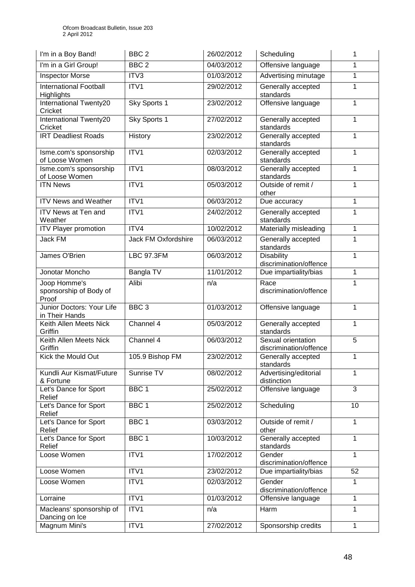| I'm in a Boy Band!                                 | BBC <sub>2</sub>    | 26/02/2012 | Scheduling                                   | 1              |
|----------------------------------------------------|---------------------|------------|----------------------------------------------|----------------|
| I'm in a Girl Group!                               | BBC <sub>2</sub>    | 04/03/2012 | Offensive language                           | 1              |
| <b>Inspector Morse</b>                             | ITV3                | 01/03/2012 | Advertising minutage                         | $\mathbf{1}$   |
| <b>International Football</b><br><b>Highlights</b> | ITV1                | 29/02/2012 | Generally accepted<br>standards              | 1              |
| International Twenty20<br>Cricket                  | Sky Sports 1        | 23/02/2012 | Offensive language                           | 1              |
| <b>International Twenty20</b><br>Cricket           | Sky Sports 1        | 27/02/2012 | Generally accepted<br>standards              | 1              |
| <b>IRT Deadliest Roads</b>                         | History             | 23/02/2012 | Generally accepted<br>standards              | 1              |
| Isme.com's sponsorship<br>of Loose Women           | ITV <sub>1</sub>    | 02/03/2012 | Generally accepted<br>standards              | 1              |
| Isme.com's sponsorship<br>of Loose Women           | ITV1                | 08/03/2012 | Generally accepted<br>standards              | 1              |
| <b>ITN News</b>                                    | ITV1                | 05/03/2012 | Outside of remit /<br>other                  | $\mathbf{1}$   |
| <b>ITV News and Weather</b>                        | ITV1                | 06/03/2012 | Due accuracy                                 | $\mathbf{1}$   |
| ITV News at Ten and<br>Weather                     | ITV1                | 24/02/2012 | Generally accepted<br>standards              | 1              |
| <b>ITV Player promotion</b>                        | ITV4                | 10/02/2012 | Materially misleading                        | $\mathbf{1}$   |
| <b>Jack FM</b>                                     | Jack FM Oxfordshire | 06/03/2012 | Generally accepted<br>standards              | $\mathbf{1}$   |
| James O'Brien                                      | <b>LBC 97.3FM</b>   | 06/03/2012 | <b>Disability</b><br>discrimination/offence  | $\mathbf{1}$   |
| Jonotar Moncho                                     | Bangla TV           | 11/01/2012 | Due impartiality/bias                        | 1              |
| Joop Homme's<br>sponsorship of Body of<br>Proof    | Alibi               | n/a        | Race<br>discrimination/offence               | 1              |
| Junior Doctors: Your Life<br>in Their Hands        | BBC <sub>3</sub>    | 01/03/2012 | Offensive language                           | 1              |
| Keith Allen Meets Nick<br>Griffin                  | Channel 4           | 05/03/2012 | Generally accepted<br>standards              | 1              |
| Keith Allen Meets Nick<br>Griffin                  | Channel 4           | 06/03/2012 | Sexual orientation<br>discrimination/offence | $\overline{5}$ |
| Kick the Mould Out                                 | 105.9 Bishop FM     | 23/02/2012 | Generally accepted<br>standards              | $\mathbf{1}$   |
| Kundli Aur Kismat/Future<br>& Fortune              | Sunrise TV          | 08/02/2012 | Advertising/editorial<br>distinction         | 1              |
| Let's Dance for Sport<br>Relief                    | BBC <sub>1</sub>    | 25/02/2012 | Offensive language                           | 3              |
| Let's Dance for Sport<br>Relief                    | BBC 1               | 25/02/2012 | Scheduling                                   | 10             |
| Let's Dance for Sport<br>Relief                    | BBC <sub>1</sub>    | 03/03/2012 | Outside of remit /<br>other                  | 1              |
| Let's Dance for Sport<br>Relief                    | BBC <sub>1</sub>    | 10/03/2012 | Generally accepted<br>standards              | 1              |
| Loose Women                                        | ITV1                | 17/02/2012 | Gender<br>discrimination/offence             | $\mathbf{1}$   |
| Loose Women                                        | ITV1                | 23/02/2012 | Due impartiality/bias                        | 52             |
| Loose Women                                        | ITV1                | 02/03/2012 | Gender<br>discrimination/offence             | $\mathbf{1}$   |
| Lorraine                                           | ITV1                | 01/03/2012 | Offensive language                           | 1              |
| Macleans' sponsorship of<br>Dancing on Ice         | ITV1                | n/a        | Harm                                         | 1              |
| Magnum Mini's                                      | ITV1                | 27/02/2012 | Sponsorship credits                          | 1              |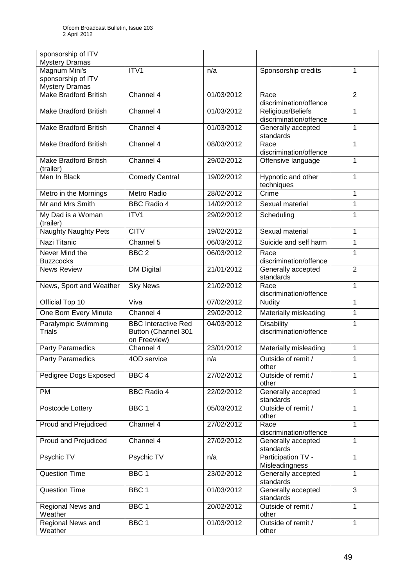| sponsorship of ITV<br><b>Mystery Dramas</b>                  |                                                                   |            |                                             |                |
|--------------------------------------------------------------|-------------------------------------------------------------------|------------|---------------------------------------------|----------------|
| Magnum Mini's<br>sponsorship of ITV<br><b>Mystery Dramas</b> | ITV1                                                              | n/a        | Sponsorship credits                         | 1              |
| <b>Make Bradford British</b>                                 | Channel 4                                                         | 01/03/2012 | Race<br>discrimination/offence              | $\overline{2}$ |
| <b>Make Bradford British</b>                                 | Channel 4                                                         | 01/03/2012 | Religious/Beliefs<br>discrimination/offence | 1              |
| Make Bradford British                                        | Channel 4                                                         | 01/03/2012 | Generally accepted<br>standards             | $\mathbf{1}$   |
| <b>Make Bradford British</b>                                 | Channel 4                                                         | 08/03/2012 | Race<br>discrimination/offence              | 1              |
| Make Bradford British<br>(trailer)                           | Channel 4                                                         | 29/02/2012 | Offensive language                          | 1              |
| Men In Black                                                 | <b>Comedy Central</b>                                             | 19/02/2012 | Hypnotic and other<br>techniques            | $\mathbf{1}$   |
| Metro in the Mornings                                        | <b>Metro Radio</b>                                                | 28/02/2012 | Crime                                       | 1              |
| Mr and Mrs Smith                                             | <b>BBC Radio 4</b>                                                | 14/02/2012 | Sexual material                             | $\mathbf{1}$   |
| My Dad is a Woman<br>(trailer)                               | ITV1                                                              | 29/02/2012 | Scheduling                                  | 1              |
| <b>Naughty Naughty Pets</b>                                  | <b>CITV</b>                                                       | 19/02/2012 | Sexual material                             | $\mathbf{1}$   |
| Nazi Titanic                                                 | Channel 5                                                         | 06/03/2012 | Suicide and self harm                       | $\mathbf{1}$   |
| Never Mind the<br><b>Buzzcocks</b>                           | BBC <sub>2</sub>                                                  | 06/03/2012 | Race<br>discrimination/offence              | 1              |
| <b>News Review</b>                                           | <b>DM Digital</b>                                                 | 21/01/2012 | Generally accepted<br>standards             | $\overline{2}$ |
| News, Sport and Weather                                      | <b>Sky News</b>                                                   | 21/02/2012 | Race<br>discrimination/offence              | $\mathbf{1}$   |
| Official Top 10                                              | Viva                                                              | 07/02/2012 | <b>Nudity</b>                               | 1              |
| One Born Every Minute                                        | Channel 4                                                         | 29/02/2012 | Materially misleading                       | $\mathbf{1}$   |
| Paralympic Swimming<br><b>Trials</b>                         | <b>BBC Interactive Red</b><br>Button (Channel 301<br>on Freeview) | 04/03/2012 | <b>Disability</b><br>discrimination/offence | 1              |
| <b>Party Paramedics</b>                                      | Channel 4                                                         | 23/01/2012 | Materially misleading                       | 1              |
| <b>Party Paramedics</b>                                      | 4OD service                                                       | n/a        | Outside of remit /<br>other                 | 1              |
| Pedigree Dogs Exposed                                        | BBC <sub>4</sub>                                                  | 27/02/2012 | Outside of remit /<br>other                 | 1              |
| <b>PM</b>                                                    | <b>BBC Radio 4</b>                                                | 22/02/2012 | Generally accepted<br>standards             | 1              |
| Postcode Lottery                                             | BBC <sub>1</sub>                                                  | 05/03/2012 | Outside of remit /<br>other                 | 1              |
| Proud and Prejudiced                                         | Channel $\overline{4}$                                            | 27/02/2012 | Race<br>discrimination/offence              | $\mathbf{1}$   |
| Proud and Prejudiced                                         | Channel 4                                                         | 27/02/2012 | Generally accepted<br>standards             | $\mathbf{1}$   |
| Psychic TV                                                   | Psychic TV                                                        | n/a        | Participation TV -<br>Misleadingness        | $\mathbf{1}$   |
| <b>Question Time</b>                                         | BBC <sub>1</sub>                                                  | 23/02/2012 | Generally accepted<br>standards             | $\mathbf{1}$   |
| <b>Question Time</b>                                         | BBC <sub>1</sub>                                                  | 01/03/2012 | Generally accepted<br>standards             | 3              |
| Regional News and<br>Weather                                 | BBC <sub>1</sub>                                                  | 20/02/2012 | Outside of remit /<br>other                 | $\mathbf{1}$   |
| Regional News and<br>Weather                                 | BBC <sub>1</sub>                                                  | 01/03/2012 | Outside of remit /<br>other                 | 1              |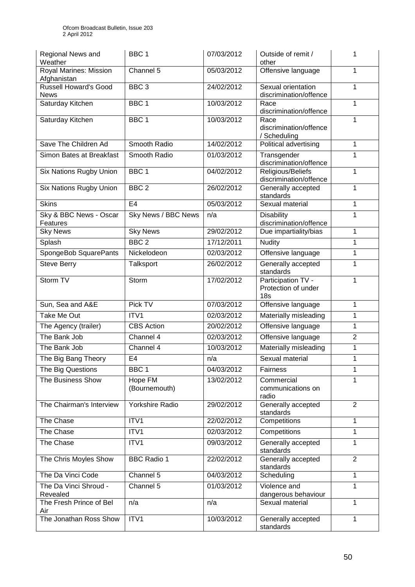| Regional News and<br>Weather                | BBC <sub>1</sub>           | 07/03/2012 | Outside of remit /<br>other                                  | 1              |
|---------------------------------------------|----------------------------|------------|--------------------------------------------------------------|----------------|
| Royal Marines: Mission<br>Afghanistan       | Channel 5                  | 05/03/2012 | Offensive language                                           | 1              |
| <b>Russell Howard's Good</b><br><b>News</b> | BBC <sub>3</sub>           | 24/02/2012 | Sexual orientation<br>discrimination/offence                 | 1              |
| Saturday Kitchen                            | BBC <sub>1</sub>           | 10/03/2012 | Race<br>discrimination/offence                               | 1              |
| Saturday Kitchen                            | BBC 1                      | 10/03/2012 | Race<br>discrimination/offence<br>/ Scheduling               | 1              |
| Save The Children Ad                        | Smooth Radio               | 14/02/2012 | Political advertising                                        | 1              |
| Simon Bates at Breakfast                    | Smooth Radio               | 01/03/2012 | Transgender<br>discrimination/offence                        | $\mathbf{1}$   |
| Six Nations Rugby Union                     | BBC <sub>1</sub>           | 04/02/2012 | Religious/Beliefs<br>discrimination/offence                  | 1              |
| Six Nations Rugby Union                     | BBC <sub>2</sub>           | 26/02/2012 | Generally accepted<br>standards                              | 1              |
| <b>Skins</b>                                | E <sub>4</sub>             | 05/03/2012 | Sexual material                                              | 1              |
| Sky & BBC News - Oscar<br>Features          | <b>Sky News / BBC News</b> | n/a        | Disability<br>discrimination/offence                         | 1              |
| <b>Sky News</b>                             | <b>Sky News</b>            | 29/02/2012 | Due impartiality/bias                                        | $\mathbf{1}$   |
| Splash                                      | BBC <sub>2</sub>           | 17/12/2011 | <b>Nudity</b>                                                | 1              |
| SpongeBob SquarePants                       | Nickelodeon                | 02/03/2012 | Offensive language                                           | 1              |
| <b>Steve Berry</b>                          | Talksport                  | 26/02/2012 | Generally accepted<br>standards                              | $\mathbf{1}$   |
| Storm TV                                    | Storm                      | 17/02/2012 | Participation TV -<br>Protection of under<br>18 <sub>s</sub> | 1              |
| Sun, Sea and A&E                            | Pick TV                    | 07/03/2012 | Offensive language                                           | 1              |
| Take Me Out                                 | ITV <sub>1</sub>           | 02/03/2012 | Materially misleading                                        | 1              |
| The Agency (trailer)                        | <b>CBS</b> Action          | 20/02/2012 | Offensive language                                           | 1              |
| The Bank Job                                | Channel 4                  | 02/03/2012 | Offensive language                                           | $\overline{2}$ |
| The Bank Job                                | Channel 4                  | 10/03/2012 | Materially misleading                                        | 1              |
| The Big Bang Theory                         | E4                         | n/a        | Sexual material                                              | 1              |
| The Big Questions                           | BBC <sub>1</sub>           | 04/03/2012 | Fairness                                                     | 1              |
| The Business Show                           | Hope FM<br>(Bournemouth)   | 13/02/2012 | Commercial<br>communications on<br>radio                     | $\mathbf{1}$   |
| The Chairman's Interview                    | Yorkshire Radio            | 29/02/2012 | Generally accepted<br>standards                              | 2              |
| The Chase                                   | ITV1                       | 22/02/2012 | Competitions                                                 | $\mathbf{1}$   |
| The Chase                                   | ITV1                       | 02/03/2012 | Competitions                                                 | 1              |
| The Chase                                   | ITV1                       | 09/03/2012 | Generally accepted<br>standards                              | 1              |
| The Chris Moyles Show                       | <b>BBC Radio 1</b>         | 22/02/2012 | Generally accepted<br>standards                              | 2              |
| The Da Vinci Code                           | Channel 5                  | 04/03/2012 | Scheduling                                                   | 1              |
| The Da Vinci Shroud -<br>Revealed           | Channel 5                  | 01/03/2012 | Violence and<br>dangerous behaviour                          | 1              |
| The Fresh Prince of Bel<br>Air              | n/a                        | n/a        | Sexual material                                              | $\mathbf{1}$   |
| The Jonathan Ross Show                      | ITV1                       | 10/03/2012 | Generally accepted<br>standards                              | 1              |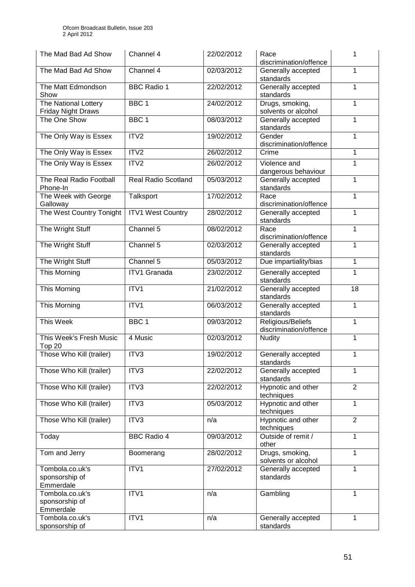| The Mad Bad Ad Show                               | Channel 4                | 22/02/2012 | Race<br>discrimination/offence              | 1              |
|---------------------------------------------------|--------------------------|------------|---------------------------------------------|----------------|
| The Mad Bad Ad Show                               | Channel 4                | 02/03/2012 | Generally accepted<br>standards             | 1              |
| The Matt Edmondson<br>Show                        | <b>BBC Radio 1</b>       | 22/02/2012 | Generally accepted<br>standards             | 1              |
| The National Lottery<br><b>Friday Night Draws</b> | BBC <sub>1</sub>         | 24/02/2012 | Drugs, smoking,<br>solvents or alcohol      | 1              |
| The One Show                                      | BBC <sub>1</sub>         | 08/03/2012 | Generally accepted<br>standards             | 1              |
| The Only Way is Essex                             | ITV2                     | 19/02/2012 | Gender<br>discrimination/offence            | 1              |
| The Only Way is Essex                             | ITV <sub>2</sub>         | 26/02/2012 | Crime                                       | 1              |
| The Only Way is Essex                             | ITV2                     | 26/02/2012 | Violence and<br>dangerous behaviour         | $\mathbf{1}$   |
| The Real Radio Football<br>Phone-In               | Real Radio Scotland      | 05/03/2012 | Generally accepted<br>standards             | 1              |
| The Week with George<br>Galloway                  | Talksport                | 17/02/2012 | Race<br>discrimination/offence              | 1              |
| The West Country Tonight                          | <b>ITV1 West Country</b> | 28/02/2012 | Generally accepted<br>standards             | 1              |
| The Wright Stuff                                  | Channel 5                | 08/02/2012 | Race<br>discrimination/offence              | 1              |
| The Wright Stuff                                  | Channel 5                | 02/03/2012 | Generally accepted<br>standards             | 1              |
| The Wright Stuff                                  | Channel 5                | 05/03/2012 | Due impartiality/bias                       | $\mathbf{1}$   |
| This Morning                                      | <b>ITV1 Granada</b>      | 23/02/2012 | Generally accepted<br>standards             | 1              |
| This Morning                                      | ITV1                     | 21/02/2012 | Generally accepted<br>standards             | 18             |
| This Morning                                      | ITV1                     | 06/03/2012 | Generally accepted<br>standards             | 1              |
| This Week                                         | BBC <sub>1</sub>         | 09/03/2012 | Religious/Beliefs<br>discrimination/offence | 1              |
| This Week's Fresh Music<br>Top 20                 | 4 Music                  | 02/03/2012 | <b>Nudity</b>                               | 1              |
| Those Who Kill (trailer)                          | ITV3                     | 19/02/2012 | Generally accepted<br>standards             | 1              |
| Those Who Kill (trailer)                          | ITV3                     | 22/02/2012 | Generally accepted<br>standards             | 1              |
| Those Who Kill (trailer)                          | ITV3                     | 22/02/2012 | Hypnotic and other<br>techniques            | $\overline{2}$ |
| Those Who Kill (trailer)                          | ITV3                     | 05/03/2012 | Hypnotic and other<br>techniques            | $\mathbf{1}$   |
| Those Who Kill (trailer)                          | ITV3                     | n/a        | Hypnotic and other<br>techniques            | $\overline{2}$ |
| Today                                             | <b>BBC Radio 4</b>       | 09/03/2012 | Outside of remit /<br>other                 | $\mathbf{1}$   |
| Tom and Jerry                                     | Boomerang                | 28/02/2012 | Drugs, smoking,<br>solvents or alcohol      | 1              |
| Tombola.co.uk's<br>sponsorship of<br>Emmerdale    | ITV1                     | 27/02/2012 | Generally accepted<br>standards             | $\mathbf{1}$   |
| Tombola.co.uk's<br>sponsorship of<br>Emmerdale    | ITV1                     | n/a        | Gambling                                    | $\mathbf{1}$   |
| Tombola.co.uk's<br>sponsorship of                 | ITV1                     | n/a        | Generally accepted<br>standards             | $\mathbf{1}$   |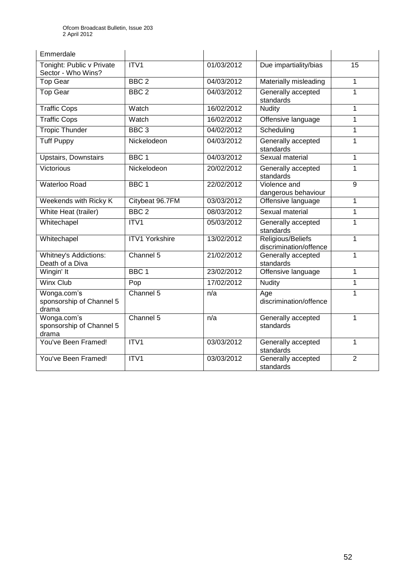| Emmerdale                                        |                       |            |                                             |                |
|--------------------------------------------------|-----------------------|------------|---------------------------------------------|----------------|
| Tonight: Public v Private<br>Sector - Who Wins?  | ITV1                  | 01/03/2012 | Due impartiality/bias                       | 15             |
| Top Gear                                         | BBC <sub>2</sub>      | 04/03/2012 | Materially misleading                       | $\mathbf{1}$   |
| <b>Top Gear</b>                                  | BBC <sub>2</sub>      | 04/03/2012 | Generally accepted<br>standards             | $\mathbf 1$    |
| <b>Traffic Cops</b>                              | Watch                 | 16/02/2012 | <b>Nudity</b>                               | 1              |
| <b>Traffic Cops</b>                              | Watch                 | 16/02/2012 | Offensive language                          | $\mathbf{1}$   |
| <b>Tropic Thunder</b>                            | BBC <sub>3</sub>      | 04/02/2012 | Scheduling                                  | 1              |
| <b>Tuff Puppy</b>                                | Nickelodeon           | 04/03/2012 | Generally accepted<br>standards             | $\mathbf{1}$   |
| <b>Upstairs, Downstairs</b>                      | BBC <sub>1</sub>      | 04/03/2012 | Sexual material                             | 1              |
| <b>Victorious</b>                                | Nickelodeon           | 20/02/2012 | Generally accepted<br>standards             | $\mathbf{1}$   |
| Waterloo Road                                    | BBC <sub>1</sub>      | 22/02/2012 | Violence and<br>dangerous behaviour         | 9              |
| Weekends with Ricky K                            | Citybeat 96.7FM       | 03/03/2012 | Offensive language                          | 1              |
| White Heat (trailer)                             | BBC <sub>2</sub>      | 08/03/2012 | Sexual material                             | 1              |
| Whitechapel                                      | ITV1                  | 05/03/2012 | Generally accepted<br>standards             | $\mathbf{1}$   |
| Whitechapel                                      | <b>ITV1 Yorkshire</b> | 13/02/2012 | Religious/Beliefs<br>discrimination/offence | $\mathbf{1}$   |
| <b>Whitney's Addictions:</b><br>Death of a Diva  | Channel 5             | 21/02/2012 | Generally accepted<br>standards             | 1              |
| Wingin' It                                       | BBC <sub>1</sub>      | 23/02/2012 | Offensive language                          | 1              |
| <b>Winx Club</b>                                 | Pop                   | 17/02/2012 | <b>Nudity</b>                               | $\mathbf{1}$   |
| Wonga.com's<br>sponsorship of Channel 5<br>drama | Channel 5             | n/a        | Age<br>discrimination/offence               | 1              |
| Wonga.com's<br>sponsorship of Channel 5<br>drama | Channel 5             | n/a        | Generally accepted<br>standards             | 1              |
| You've Been Framed!                              | ITV1                  | 03/03/2012 | Generally accepted<br>standards             | $\mathbf{1}$   |
| You've Been Framed!                              | ITV1                  | 03/03/2012 | Generally accepted<br>standards             | $\overline{2}$ |